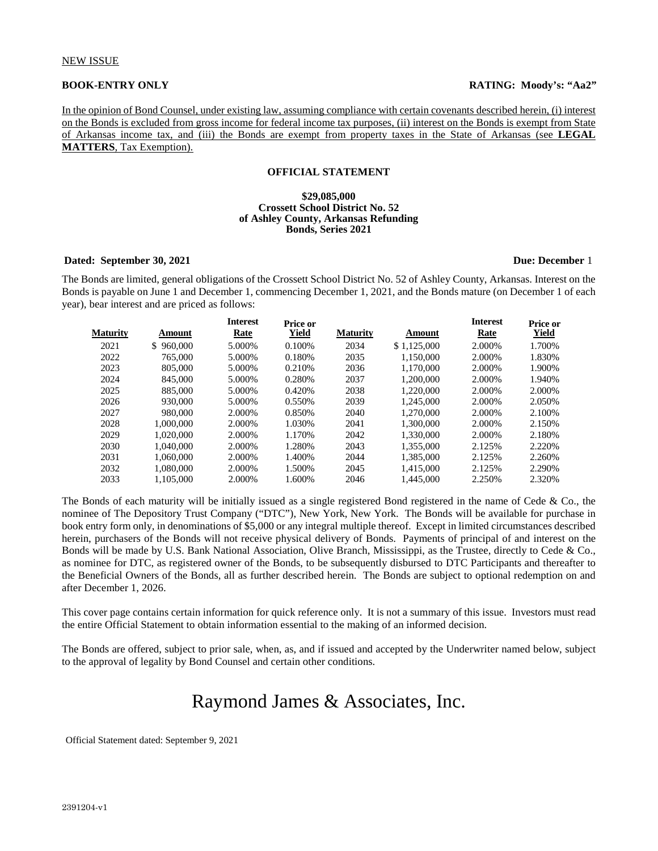In the opinion of Bond Counsel, under existing law, assuming compliance with certain covenants described herein, (i) interest on the Bonds is excluded from gross income for federal income tax purposes, (ii) interest on the Bonds is exempt from State of Arkansas income tax, and (iii) the Bonds are exempt from property taxes in the State of Arkansas (see **LEGAL MATTERS**, Tax Exemption).

#### **OFFICIAL STATEMENT**

#### **\$29,085,000 Crossett School District No. 52 of Ashley County, Arkansas Refunding Bonds, Series 2021**

#### **Dated: September 30, 2021 Due: December** 1

The Bonds are limited, general obligations of the Crossett School District No. 52 of Ashley County, Arkansas. Interest on the Bonds is payable on June 1 and December 1, commencing December 1, 2021, and the Bonds mature (on December 1 of each year), bear interest and are priced as follows:

**Interest**

| Maturity | Amount    | <b>Interest</b><br>Rate | Price or<br>Yield | <b>Maturity</b> | Amount      | <b>Interest</b><br>Rate | Price or<br><u>Yield</u> |
|----------|-----------|-------------------------|-------------------|-----------------|-------------|-------------------------|--------------------------|
| 2021     | \$960,000 | 5.000%                  | 0.100%            | 2034            | \$1,125,000 | 2.000%                  | 1.700%                   |
| 2022     | 765,000   | 5.000%                  | 0.180%            | 2035            | 1.150,000   | 2.000%                  | 1.830%                   |
| 2023     | 805,000   | 5.000%                  | 0.210\%           | 2036            | 1.170.000   | 2.000%                  | 1.900%                   |
| 2024     | 845,000   | 5.000%                  | 0.280%            | 2037            | 1.200.000   | 2.000\%                 | 1.940%                   |
| 2025     | 885,000   | 5.000%                  | 0.420\%           | 2038            | 1.220.000   | 2.000\%                 | 2.000\%                  |
| 2026     | 930,000   | 5.000%                  | 0.550%            | 2039            | 1.245,000   | 2.000%                  | 2.050%                   |
| 2027     | 980,000   | 2.000\%                 | 0.850%            | 2040            | 1.270.000   | 2.000\%                 | 2.100%                   |
| 2028     | 1.000.000 | 2.000%                  | 1.030%            | 2041            | 1.300,000   | 2.000\%                 | 2.150%                   |
| 2029     | 1.020.000 | 2.000%                  | 1.170%            | 2042            | 1.330,000   | 2.000\%                 | 2.180%                   |
| 2030     | 1.040.000 | 2.000\%                 | 1.280%            | 2043            | 1.355,000   | 2.125%                  | 2.220%                   |
| 2031     | 1.060.000 | 2.000%                  | 1.400%            | 2044            | 1.385,000   | 2.125%                  | 2.260%                   |
| 2032     | 1.080.000 | 2.000%                  | 1.500%            | 2045            | 1.415,000   | 2.125%                  | 2.290%                   |
| 2033     | 1.105.000 | 2.000%                  | 1.600%            | 2046            | 1.445,000   | 2.250%                  | 2.320%                   |
|          |           |                         |                   |                 |             |                         |                          |

The Bonds of each maturity will be initially issued as a single registered Bond registered in the name of Cede  $\&$  Co., the nominee of The Depository Trust Company ("DTC"), New York, New York. The Bonds will be available for purchase in book entry form only, in denominations of \$5,000 or any integral multiple thereof. Except in limited circumstances described herein, purchasers of the Bonds will not receive physical delivery of Bonds. Payments of principal of and interest on the Bonds will be made by U.S. Bank National Association, Olive Branch, Mississippi, as the Trustee, directly to Cede & Co., as nominee for DTC, as registered owner of the Bonds, to be subsequently disbursed to DTC Participants and thereafter to the Beneficial Owners of the Bonds, all as further described herein. The Bonds are subject to optional redemption on and after December 1, 2026.

This cover page contains certain information for quick reference only. It is not a summary of this issue. Investors must read the entire Official Statement to obtain information essential to the making of an informed decision.

The Bonds are offered, subject to prior sale, when, as, and if issued and accepted by the Underwriter named below, subject to the approval of legality by Bond Counsel and certain other conditions.

# Raymond James & Associates, Inc.

Official Statement dated: September 9, 2021

**Interest**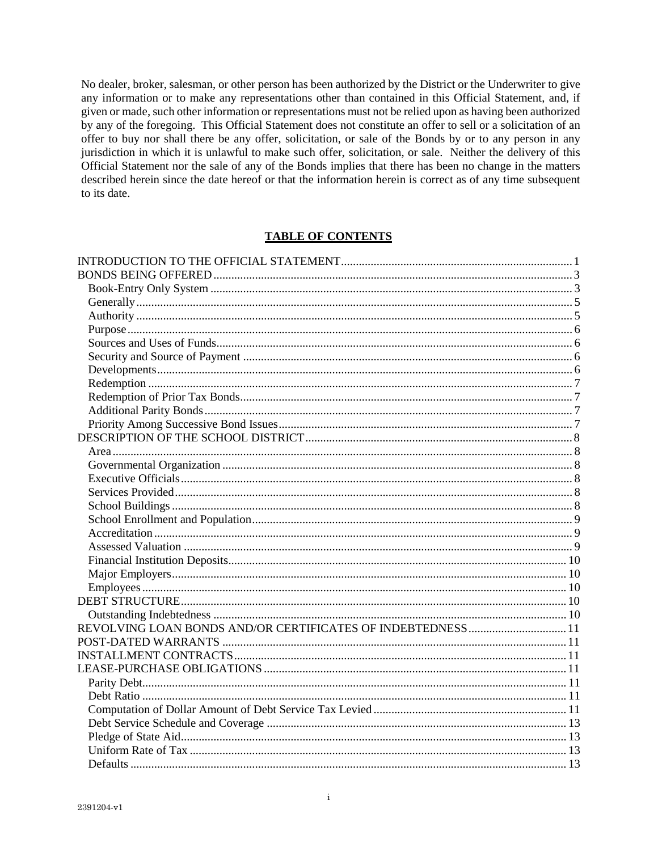No dealer, broker, salesman, or other person has been authorized by the District or the Underwriter to give any information or to make any representations other than contained in this Official Statement, and, if given or made, such other information or representations must not be relied upon as having been authorized by any of the foregoing. This Official Statement does not constitute an offer to sell or a solicitation of an offer to buy nor shall there be any offer, solicitation, or sale of the Bonds by or to any person in any jurisdiction in which it is unlawful to make such offer, solicitation, or sale. Neither the delivery of this Official Statement nor the sale of any of the Bonds implies that there has been no change in the matters described herein since the date hereof or that the information herein is correct as of any time subsequent to its date.

# **TABLE OF CONTENTS**

| REVOLVING LOAN BONDS AND/OR CERTIFICATES OF INDEBTEDNESS  11 |  |
|--------------------------------------------------------------|--|
|                                                              |  |
|                                                              |  |
|                                                              |  |
|                                                              |  |
|                                                              |  |
|                                                              |  |
|                                                              |  |
|                                                              |  |
|                                                              |  |
|                                                              |  |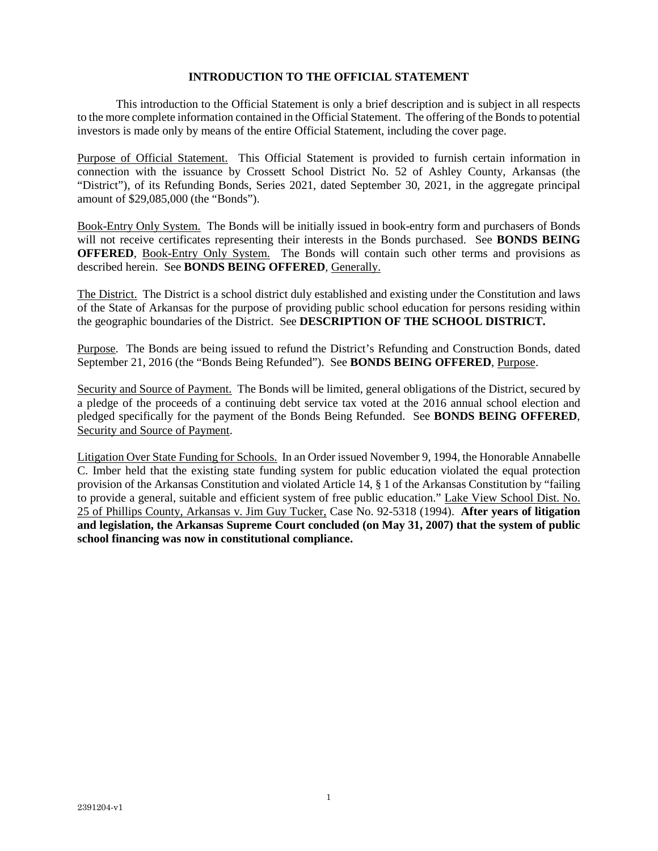# **INTRODUCTION TO THE OFFICIAL STATEMENT**

This introduction to the Official Statement is only a brief description and is subject in all respects to the more complete information contained in the Official Statement. The offering of the Bonds to potential investors is made only by means of the entire Official Statement, including the cover page.

Purpose of Official Statement. This Official Statement is provided to furnish certain information in connection with the issuance by Crossett School District No. 52 of Ashley County, Arkansas (the "District"), of its Refunding Bonds, Series 2021, dated September 30, 2021, in the aggregate principal amount of \$29,085,000 (the "Bonds").

Book-Entry Only System. The Bonds will be initially issued in book-entry form and purchasers of Bonds will not receive certificates representing their interests in the Bonds purchased. See **BONDS BEING OFFERED**, Book-Entry Only System. The Bonds will contain such other terms and provisions as described herein. See **BONDS BEING OFFERED**, Generally.

The District. The District is a school district duly established and existing under the Constitution and laws of the State of Arkansas for the purpose of providing public school education for persons residing within the geographic boundaries of the District. See **DESCRIPTION OF THE SCHOOL DISTRICT.** 

Purpose. The Bonds are being issued to refund the District's Refunding and Construction Bonds, dated September 21, 2016 (the "Bonds Being Refunded"). See **BONDS BEING OFFERED**, Purpose.

Security and Source of Payment. The Bonds will be limited, general obligations of the District, secured by a pledge of the proceeds of a continuing debt service tax voted at the 2016 annual school election and pledged specifically for the payment of the Bonds Being Refunded. See **BONDS BEING OFFERED**, Security and Source of Payment.

Litigation Over State Funding for Schools. In an Order issued November 9, 1994, the Honorable Annabelle C. Imber held that the existing state funding system for public education violated the equal protection provision of the Arkansas Constitution and violated Article 14, § 1 of the Arkansas Constitution by "failing to provide a general, suitable and efficient system of free public education." Lake View School Dist. No. 25 of Phillips County, Arkansas v. Jim Guy Tucker, Case No. 92-5318 (1994). **After years of litigation and legislation, the Arkansas Supreme Court concluded (on May 31, 2007) that the system of public school financing was now in constitutional compliance.**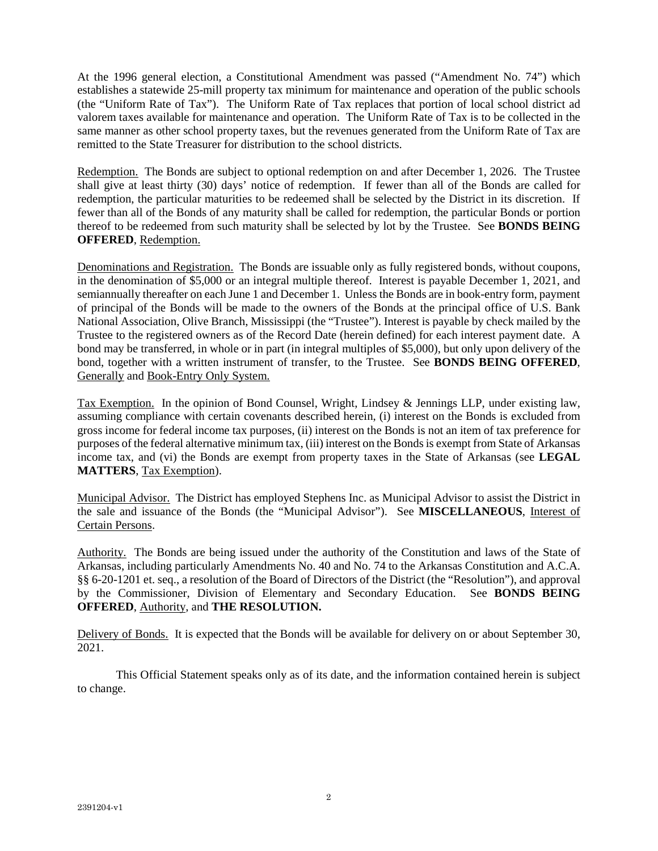At the 1996 general election, a Constitutional Amendment was passed ("Amendment No. 74") which establishes a statewide 25-mill property tax minimum for maintenance and operation of the public schools (the "Uniform Rate of Tax"). The Uniform Rate of Tax replaces that portion of local school district ad valorem taxes available for maintenance and operation. The Uniform Rate of Tax is to be collected in the same manner as other school property taxes, but the revenues generated from the Uniform Rate of Tax are remitted to the State Treasurer for distribution to the school districts.

Redemption. The Bonds are subject to optional redemption on and after December 1, 2026. The Trustee shall give at least thirty (30) days' notice of redemption. If fewer than all of the Bonds are called for redemption, the particular maturities to be redeemed shall be selected by the District in its discretion. If fewer than all of the Bonds of any maturity shall be called for redemption, the particular Bonds or portion thereof to be redeemed from such maturity shall be selected by lot by the Trustee. See **BONDS BEING OFFERED**, Redemption.

Denominations and Registration. The Bonds are issuable only as fully registered bonds, without coupons, in the denomination of \$5,000 or an integral multiple thereof. Interest is payable December 1, 2021, and semiannually thereafter on each June 1 and December 1. Unless the Bonds are in book-entry form, payment of principal of the Bonds will be made to the owners of the Bonds at the principal office of U.S. Bank National Association, Olive Branch, Mississippi (the "Trustee"). Interest is payable by check mailed by the Trustee to the registered owners as of the Record Date (herein defined) for each interest payment date. A bond may be transferred, in whole or in part (in integral multiples of \$5,000), but only upon delivery of the bond, together with a written instrument of transfer, to the Trustee. See **BONDS BEING OFFERED**, Generally and Book-Entry Only System.

Tax Exemption. In the opinion of Bond Counsel, Wright, Lindsey & Jennings LLP, under existing law, assuming compliance with certain covenants described herein, (i) interest on the Bonds is excluded from gross income for federal income tax purposes, (ii) interest on the Bonds is not an item of tax preference for purposes of the federal alternative minimum tax, (iii) interest on the Bonds is exempt from State of Arkansas income tax, and (vi) the Bonds are exempt from property taxes in the State of Arkansas (see **LEGAL MATTERS**, Tax Exemption).

Municipal Advisor. The District has employed Stephens Inc. as Municipal Advisor to assist the District in the sale and issuance of the Bonds (the "Municipal Advisor"). See **MISCELLANEOUS**, Interest of Certain Persons.

Authority. The Bonds are being issued under the authority of the Constitution and laws of the State of Arkansas, including particularly Amendments No. 40 and No. 74 to the Arkansas Constitution and A.C.A. §§ 6-20-1201 et. seq., a resolution of the Board of Directors of the District (the "Resolution"), and approval by the Commissioner, Division of Elementary and Secondary Education. See **BONDS BEING OFFERED**, Authority, and **THE RESOLUTION.** 

Delivery of Bonds. It is expected that the Bonds will be available for delivery on or about September 30, 2021.

This Official Statement speaks only as of its date, and the information contained herein is subject to change.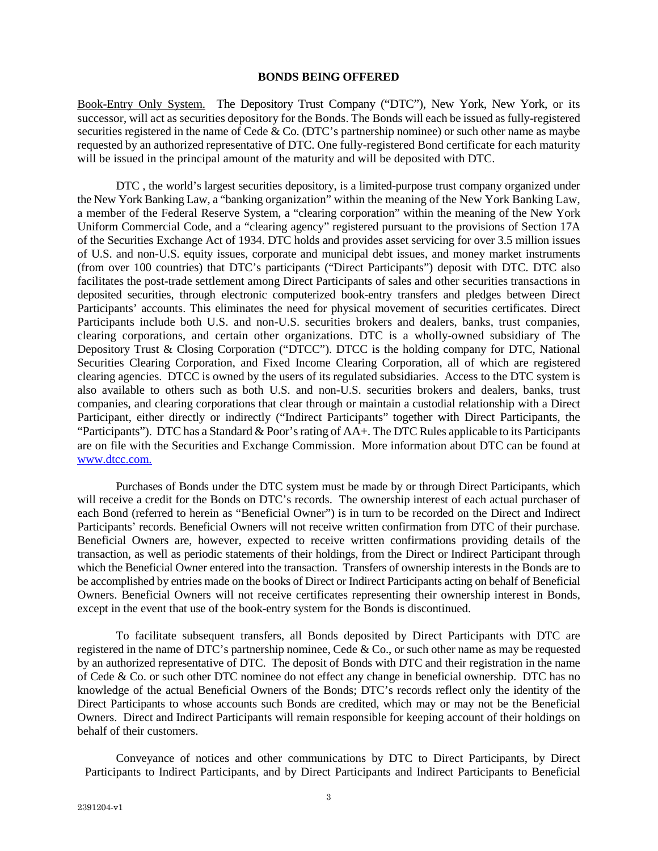#### **BONDS BEING OFFERED**

Book-Entry Only System. The Depository Trust Company ("DTC"), New York, New York, or its successor, will act as securities depository for the Bonds. The Bonds will each be issued as fully-registered securities registered in the name of Cede & Co. (DTC's partnership nominee) or such other name as maybe requested by an authorized representative of DTC. One fully-registered Bond certificate for each maturity will be issued in the principal amount of the maturity and will be deposited with DTC.

DTC , the world's largest securities depository, is a limited-purpose trust company organized under the New York Banking Law, a "banking organization" within the meaning of the New York Banking Law, a member of the Federal Reserve System, a "clearing corporation" within the meaning of the New York Uniform Commercial Code, and a "clearing agency" registered pursuant to the provisions of Section 17A of the Securities Exchange Act of 1934. DTC holds and provides asset servicing for over 3.5 million issues of U.S. and non-U.S. equity issues, corporate and municipal debt issues, and money market instruments (from over 100 countries) that DTC's participants ("Direct Participants") deposit with DTC. DTC also facilitates the post-trade settlement among Direct Participants of sales and other securities transactions in deposited securities, through electronic computerized book-entry transfers and pledges between Direct Participants' accounts. This eliminates the need for physical movement of securities certificates. Direct Participants include both U.S. and non-U.S. securities brokers and dealers, banks, trust companies, clearing corporations, and certain other organizations. DTC is a wholly-owned subsidiary of The Depository Trust & Closing Corporation ("DTCC"). DTCC is the holding company for DTC, National Securities Clearing Corporation, and Fixed Income Clearing Corporation, all of which are registered clearing agencies. DTCC is owned by the users of its regulated subsidiaries. Access to the DTC system is also available to others such as both U.S. and non-U.S. securities brokers and dealers, banks, trust companies, and clearing corporations that clear through or maintain a custodial relationship with a Direct Participant, either directly or indirectly ("Indirect Participants" together with Direct Participants, the "Participants"). DTC has a Standard & Poor's rating of AA+. The DTC Rules applicable to its Participants are on file with the Securities and Exchange Commission. More information about DTC can be found at www.dtcc.com.

Purchases of Bonds under the DTC system must be made by or through Direct Participants, which will receive a credit for the Bonds on DTC's records. The ownership interest of each actual purchaser of each Bond (referred to herein as "Beneficial Owner") is in turn to be recorded on the Direct and Indirect Participants' records. Beneficial Owners will not receive written confirmation from DTC of their purchase. Beneficial Owners are, however, expected to receive written confirmations providing details of the transaction, as well as periodic statements of their holdings, from the Direct or Indirect Participant through which the Beneficial Owner entered into the transaction. Transfers of ownership interests in the Bonds are to be accomplished by entries made on the books of Direct or Indirect Participants acting on behalf of Beneficial Owners. Beneficial Owners will not receive certificates representing their ownership interest in Bonds, except in the event that use of the book-entry system for the Bonds is discontinued.

To facilitate subsequent transfers, all Bonds deposited by Direct Participants with DTC are registered in the name of DTC's partnership nominee, Cede & Co., or such other name as may be requested by an authorized representative of DTC. The deposit of Bonds with DTC and their registration in the name of Cede & Co. or such other DTC nominee do not effect any change in beneficial ownership. DTC has no knowledge of the actual Beneficial Owners of the Bonds; DTC's records reflect only the identity of the Direct Participants to whose accounts such Bonds are credited, which may or may not be the Beneficial Owners. Direct and Indirect Participants will remain responsible for keeping account of their holdings on behalf of their customers.

Conveyance of notices and other communications by DTC to Direct Participants, by Direct Participants to Indirect Participants, and by Direct Participants and Indirect Participants to Beneficial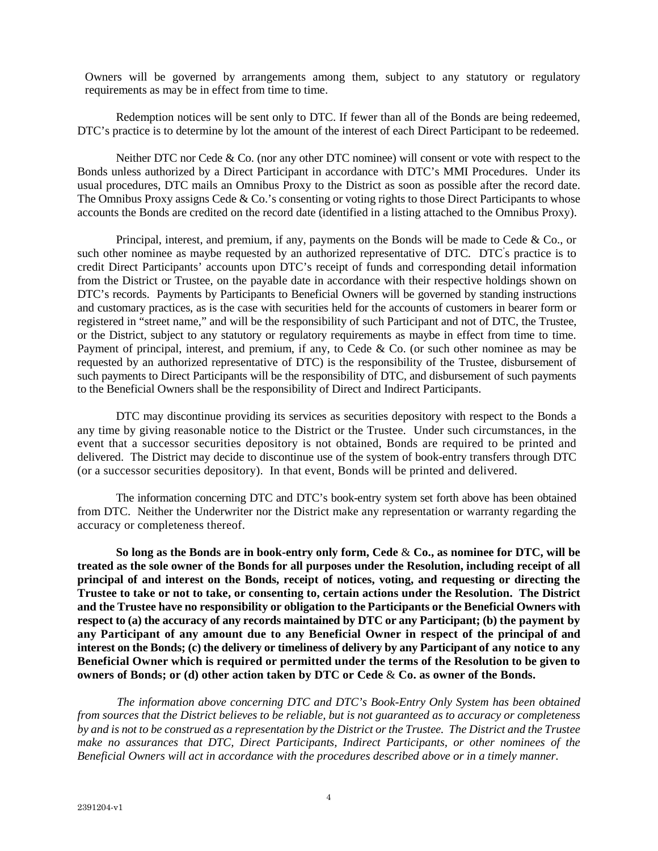Owners will be governed by arrangements among them, subject to any statutory or regulatory requirements as may be in effect from time to time.

Redemption notices will be sent only to DTC. If fewer than all of the Bonds are being redeemed, DTC's practice is to determine by lot the amount of the interest of each Direct Participant to be redeemed.

Neither DTC nor Cede & Co. (nor any other DTC nominee) will consent or vote with respect to the Bonds unless authorized by a Direct Participant in accordance with DTC's MMI Procedures. Under its usual procedures, DTC mails an Omnibus Proxy to the District as soon as possible after the record date. The Omnibus Proxy assigns Cede & Co.'s consenting or voting rights to those Direct Participants to whose accounts the Bonds are credited on the record date (identified in a listing attached to the Omnibus Proxy).

Principal, interest, and premium, if any, payments on the Bonds will be made to Cede & Co., or such other nominee as maybe requested by an authorized representative of DTC. DTC's practice is to credit Direct Participants' accounts upon DTC's receipt of funds and corresponding detail information from the District or Trustee, on the payable date in accordance with their respective holdings shown on DTC's records. Payments by Participants to Beneficial Owners will be governed by standing instructions and customary practices, as is the case with securities held for the accounts of customers in bearer form or registered in "street name," and will be the responsibility of such Participant and not of DTC, the Trustee, or the District, subject to any statutory or regulatory requirements as maybe in effect from time to time. Payment of principal, interest, and premium, if any, to Cede & Co. (or such other nominee as may be requested by an authorized representative of DTC) is the responsibility of the Trustee, disbursement of such payments to Direct Participants will be the responsibility of DTC, and disbursement of such payments to the Beneficial Owners shall be the responsibility of Direct and Indirect Participants.

DTC may discontinue providing its services as securities depository with respect to the Bonds a any time by giving reasonable notice to the District or the Trustee. Under such circumstances, in the event that a successor securities depository is not obtained, Bonds are required to be printed and delivered. The District may decide to discontinue use of the system of book-entry transfers through DTC (or a successor securities depository). In that event, Bonds will be printed and delivered.

The information concerning DTC and DTC's book-entry system set forth above has been obtained from DTC. Neither the Underwriter nor the District make any representation or warranty regarding the accuracy or completeness thereof.

**So long as the Bonds are in book-entry only form, Cede** & **Co., as nominee for DTC, will be treated as the sole owner of the Bonds for all purposes under the Resolution, including receipt of all principal of and interest on the Bonds, receipt of notices, voting, and requesting or directing the Trustee to take or not to take, or consenting to, certain actions under the Resolution. The District and the Trustee have no responsibility or obligation to the Participants or the Beneficial Owners with respect to (a) the accuracy of any records maintained by DTC or any Participant; (b) the payment by any Participant of any amount due to any Beneficial Owner in respect of the principal of and interest on the Bonds; (c) the delivery or timeliness of delivery by any Participant of any notice to any Beneficial Owner which is required or permitted under the terms of the Resolution to be given to owners of Bonds; or (d) other action taken by DTC or Cede** & **Co. as owner of the Bonds.** 

*The information above concerning DTC and DTC's Book-Entry Only System has been obtained from sources that the District believes to be reliable, but is not guaranteed as to accuracy or completeness by and is not to be construed as a representation by the District or the Trustee. The District and the Trustee make no assurances that DTC, Direct Participants, Indirect Participants, or other nominees of the Beneficial Owners will act in accordance with the procedures described above or in a timely manner.*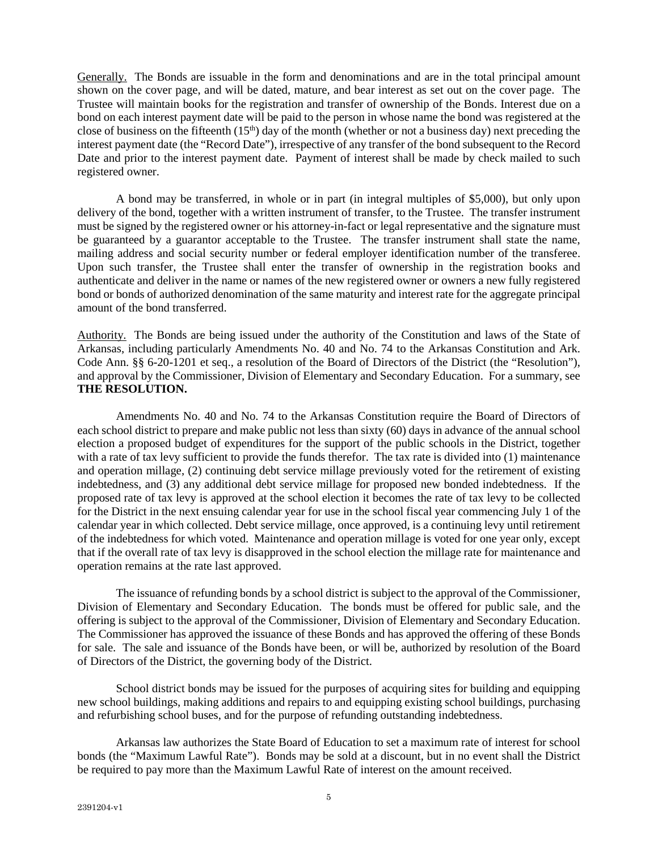Generally. The Bonds are issuable in the form and denominations and are in the total principal amount shown on the cover page, and will be dated, mature, and bear interest as set out on the cover page. The Trustee will maintain books for the registration and transfer of ownership of the Bonds. Interest due on a bond on each interest payment date will be paid to the person in whose name the bond was registered at the close of business on the fifteenth  $(15<sup>th</sup>)$  day of the month (whether or not a business day) next preceding the interest payment date (the "Record Date"), irrespective of any transfer of the bond subsequent to the Record Date and prior to the interest payment date. Payment of interest shall be made by check mailed to such registered owner.

A bond may be transferred, in whole or in part (in integral multiples of \$5,000), but only upon delivery of the bond, together with a written instrument of transfer, to the Trustee. The transfer instrument must be signed by the registered owner or his attorney-in-fact or legal representative and the signature must be guaranteed by a guarantor acceptable to the Trustee. The transfer instrument shall state the name, mailing address and social security number or federal employer identification number of the transferee. Upon such transfer, the Trustee shall enter the transfer of ownership in the registration books and authenticate and deliver in the name or names of the new registered owner or owners a new fully registered bond or bonds of authorized denomination of the same maturity and interest rate for the aggregate principal amount of the bond transferred.

Authority. The Bonds are being issued under the authority of the Constitution and laws of the State of Arkansas, including particularly Amendments No. 40 and No. 74 to the Arkansas Constitution and Ark. Code Ann. §§ 6-20-1201 et seq., a resolution of the Board of Directors of the District (the "Resolution"), and approval by the Commissioner, Division of Elementary and Secondary Education. For a summary, see **THE RESOLUTION.** 

Amendments No. 40 and No. 74 to the Arkansas Constitution require the Board of Directors of each school district to prepare and make public not less than sixty (60) days in advance of the annual school election a proposed budget of expenditures for the support of the public schools in the District, together with a rate of tax levy sufficient to provide the funds therefor. The tax rate is divided into (1) maintenance and operation millage, (2) continuing debt service millage previously voted for the retirement of existing indebtedness, and (3) any additional debt service millage for proposed new bonded indebtedness. If the proposed rate of tax levy is approved at the school election it becomes the rate of tax levy to be collected for the District in the next ensuing calendar year for use in the school fiscal year commencing July 1 of the calendar year in which collected. Debt service millage, once approved, is a continuing levy until retirement of the indebtedness for which voted. Maintenance and operation millage is voted for one year only, except that if the overall rate of tax levy is disapproved in the school election the millage rate for maintenance and operation remains at the rate last approved.

The issuance of refunding bonds by a school district is subject to the approval of the Commissioner, Division of Elementary and Secondary Education. The bonds must be offered for public sale, and the offering is subject to the approval of the Commissioner, Division of Elementary and Secondary Education. The Commissioner has approved the issuance of these Bonds and has approved the offering of these Bonds for sale. The sale and issuance of the Bonds have been, or will be, authorized by resolution of the Board of Directors of the District, the governing body of the District.

School district bonds may be issued for the purposes of acquiring sites for building and equipping new school buildings, making additions and repairs to and equipping existing school buildings, purchasing and refurbishing school buses, and for the purpose of refunding outstanding indebtedness.

Arkansas law authorizes the State Board of Education to set a maximum rate of interest for school bonds (the "Maximum Lawful Rate"). Bonds may be sold at a discount, but in no event shall the District be required to pay more than the Maximum Lawful Rate of interest on the amount received.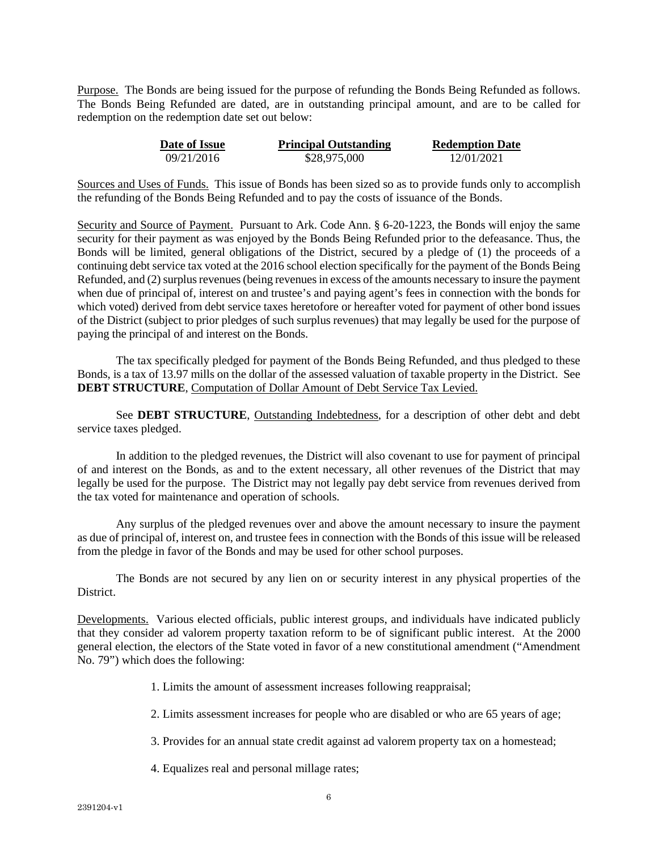Purpose. The Bonds are being issued for the purpose of refunding the Bonds Being Refunded as follows. The Bonds Being Refunded are dated, are in outstanding principal amount, and are to be called for redemption on the redemption date set out below:

| Date of Issue | <b>Principal Outstanding</b> | <b>Redemption Date</b> |
|---------------|------------------------------|------------------------|
| 09/21/2016    | \$28,975,000                 | 12/01/2021             |

Sources and Uses of Funds. This issue of Bonds has been sized so as to provide funds only to accomplish the refunding of the Bonds Being Refunded and to pay the costs of issuance of the Bonds.

Security and Source of Payment. Pursuant to Ark. Code Ann. § 6-20-1223, the Bonds will enjoy the same security for their payment as was enjoyed by the Bonds Being Refunded prior to the defeasance. Thus, the Bonds will be limited, general obligations of the District, secured by a pledge of (1) the proceeds of a continuing debt service tax voted at the 2016 school election specifically for the payment of the Bonds Being Refunded, and (2) surplus revenues (being revenues in excess of the amounts necessary to insure the payment when due of principal of, interest on and trustee's and paying agent's fees in connection with the bonds for which voted) derived from debt service taxes heretofore or hereafter voted for payment of other bond issues of the District (subject to prior pledges of such surplus revenues) that may legally be used for the purpose of paying the principal of and interest on the Bonds.

The tax specifically pledged for payment of the Bonds Being Refunded, and thus pledged to these Bonds, is a tax of 13.97 mills on the dollar of the assessed valuation of taxable property in the District. See **DEBT STRUCTURE**, Computation of Dollar Amount of Debt Service Tax Levied.

See **DEBT STRUCTURE**, Outstanding Indebtedness, for a description of other debt and debt service taxes pledged.

In addition to the pledged revenues, the District will also covenant to use for payment of principal of and interest on the Bonds, as and to the extent necessary, all other revenues of the District that may legally be used for the purpose. The District may not legally pay debt service from revenues derived from the tax voted for maintenance and operation of schools.

Any surplus of the pledged revenues over and above the amount necessary to insure the payment as due of principal of, interest on, and trustee fees in connection with the Bonds of this issue will be released from the pledge in favor of the Bonds and may be used for other school purposes.

The Bonds are not secured by any lien on or security interest in any physical properties of the District.

Developments. Various elected officials, public interest groups, and individuals have indicated publicly that they consider ad valorem property taxation reform to be of significant public interest. At the 2000 general election, the electors of the State voted in favor of a new constitutional amendment ("Amendment No. 79") which does the following:

- 1. Limits the amount of assessment increases following reappraisal;
- 2. Limits assessment increases for people who are disabled or who are 65 years of age;
- 3. Provides for an annual state credit against ad valorem property tax on a homestead;
- 4. Equalizes real and personal millage rates;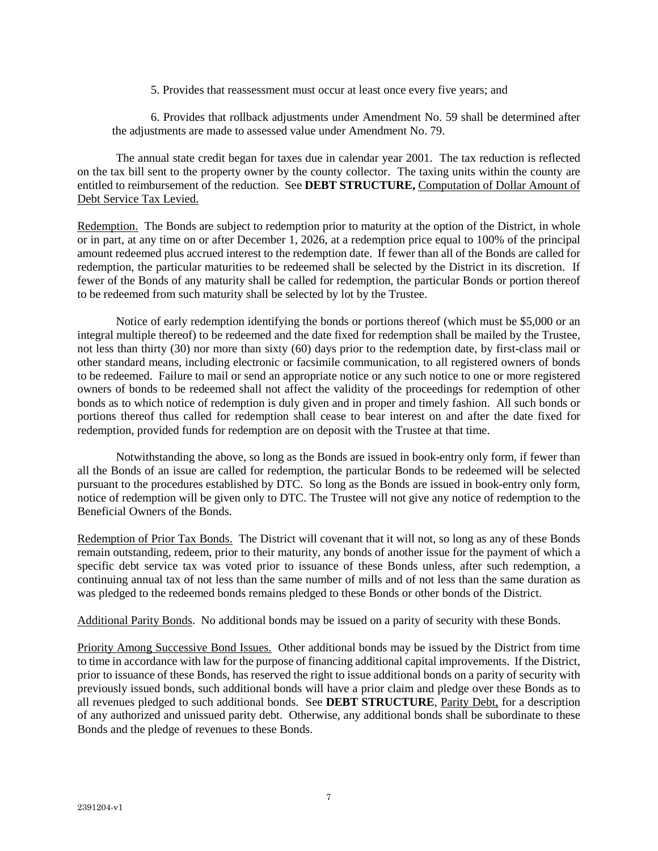5. Provides that reassessment must occur at least once every five years; and

6. Provides that rollback adjustments under Amendment No. 59 shall be determined after the adjustments are made to assessed value under Amendment No. 79.

The annual state credit began for taxes due in calendar year 2001. The tax reduction is reflected on the tax bill sent to the property owner by the county collector. The taxing units within the county are entitled to reimbursement of the reduction. See **DEBT STRUCTURE,** Computation of Dollar Amount of Debt Service Tax Levied.

Redemption. The Bonds are subject to redemption prior to maturity at the option of the District, in whole or in part, at any time on or after December 1, 2026, at a redemption price equal to 100% of the principal amount redeemed plus accrued interest to the redemption date. If fewer than all of the Bonds are called for redemption, the particular maturities to be redeemed shall be selected by the District in its discretion. If fewer of the Bonds of any maturity shall be called for redemption, the particular Bonds or portion thereof to be redeemed from such maturity shall be selected by lot by the Trustee.

Notice of early redemption identifying the bonds or portions thereof (which must be \$5,000 or an integral multiple thereof) to be redeemed and the date fixed for redemption shall be mailed by the Trustee, not less than thirty (30) nor more than sixty (60) days prior to the redemption date, by first-class mail or other standard means, including electronic or facsimile communication, to all registered owners of bonds to be redeemed. Failure to mail or send an appropriate notice or any such notice to one or more registered owners of bonds to be redeemed shall not affect the validity of the proceedings for redemption of other bonds as to which notice of redemption is duly given and in proper and timely fashion. All such bonds or portions thereof thus called for redemption shall cease to bear interest on and after the date fixed for redemption, provided funds for redemption are on deposit with the Trustee at that time.

Notwithstanding the above, so long as the Bonds are issued in book-entry only form, if fewer than all the Bonds of an issue are called for redemption, the particular Bonds to be redeemed will be selected pursuant to the procedures established by DTC. So long as the Bonds are issued in book-entry only form, notice of redemption will be given only to DTC. The Trustee will not give any notice of redemption to the Beneficial Owners of the Bonds.

Redemption of Prior Tax Bonds. The District will covenant that it will not, so long as any of these Bonds remain outstanding, redeem, prior to their maturity, any bonds of another issue for the payment of which a specific debt service tax was voted prior to issuance of these Bonds unless, after such redemption, a continuing annual tax of not less than the same number of mills and of not less than the same duration as was pledged to the redeemed bonds remains pledged to these Bonds or other bonds of the District.

Additional Parity Bonds. No additional bonds may be issued on a parity of security with these Bonds.

Priority Among Successive Bond Issues. Other additional bonds may be issued by the District from time to time in accordance with law for the purpose of financing additional capital improvements. If the District, prior to issuance of these Bonds, has reserved the right to issue additional bonds on a parity of security with previously issued bonds, such additional bonds will have a prior claim and pledge over these Bonds as to all revenues pledged to such additional bonds. See **DEBT STRUCTURE**, Parity Debt, for a description of any authorized and unissued parity debt. Otherwise, any additional bonds shall be subordinate to these Bonds and the pledge of revenues to these Bonds.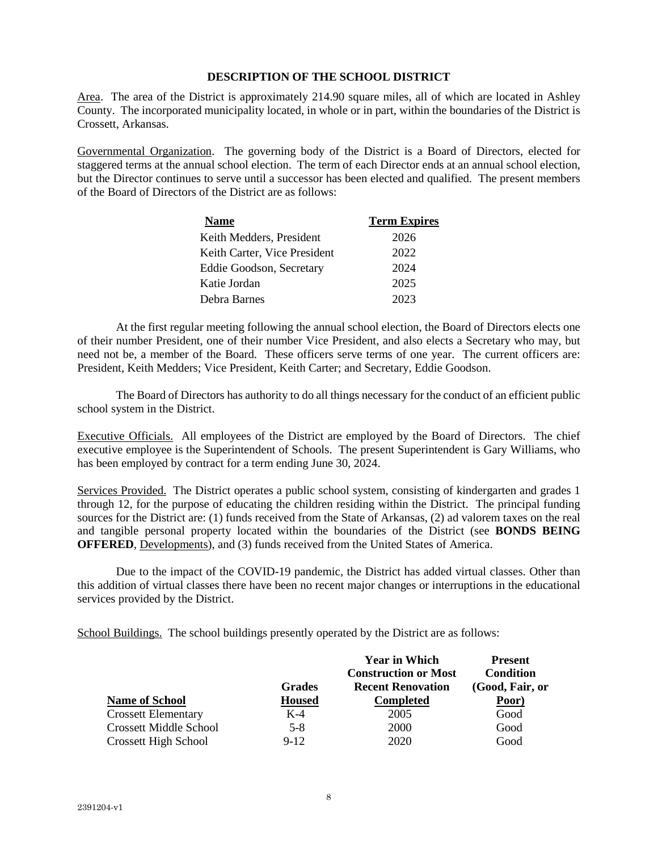# **DESCRIPTION OF THE SCHOOL DISTRICT**

Area. The area of the District is approximately 214.90 square miles, all of which are located in Ashley County. The incorporated municipality located, in whole or in part, within the boundaries of the District is Crossett, Arkansas.

Governmental Organization. The governing body of the District is a Board of Directors, elected for staggered terms at the annual school election. The term of each Director ends at an annual school election, but the Director continues to serve until a successor has been elected and qualified. The present members of the Board of Directors of the District are as follows:

| Name                         | <b>Term Expires</b> |
|------------------------------|---------------------|
| Keith Medders, President     | 2026                |
| Keith Carter, Vice President | 2022                |
| Eddie Goodson, Secretary     | 2024                |
| Katie Jordan                 | 2025                |
| Debra Barnes                 | 2023                |

At the first regular meeting following the annual school election, the Board of Directors elects one of their number President, one of their number Vice President, and also elects a Secretary who may, but need not be, a member of the Board. These officers serve terms of one year. The current officers are: President, Keith Medders; Vice President, Keith Carter; and Secretary, Eddie Goodson.

The Board of Directors has authority to do all things necessary for the conduct of an efficient public school system in the District.

Executive Officials. All employees of the District are employed by the Board of Directors. The chief executive employee is the Superintendent of Schools. The present Superintendent is Gary Williams, who has been employed by contract for a term ending June 30, 2024.

Services Provided. The District operates a public school system, consisting of kindergarten and grades 1 through 12, for the purpose of educating the children residing within the District. The principal funding sources for the District are: (1) funds received from the State of Arkansas, (2) ad valorem taxes on the real and tangible personal property located within the boundaries of the District (see **BONDS BEING OFFERED**, Developments), and (3) funds received from the United States of America.

Due to the impact of the COVID-19 pandemic, the District has added virtual classes. Other than this addition of virtual classes there have been no recent major changes or interruptions in the educational services provided by the District.

School Buildings. The school buildings presently operated by the District are as follows:

|                               |               | <b>Year in Which</b>        | <b>Present</b>   |
|-------------------------------|---------------|-----------------------------|------------------|
|                               |               | <b>Construction or Most</b> | <b>Condition</b> |
|                               | <b>Grades</b> | <b>Recent Renovation</b>    | (Good, Fair, or  |
| <b>Name of School</b>         | <b>Housed</b> | <b>Completed</b>            | Poor)            |
| <b>Crossett Elementary</b>    | $K-4$         | 2005                        | Good             |
| <b>Crossett Middle School</b> | $5-8$         | 2000                        | Good             |
| <b>Crossett High School</b>   | $9-12$        | 2020                        | Good             |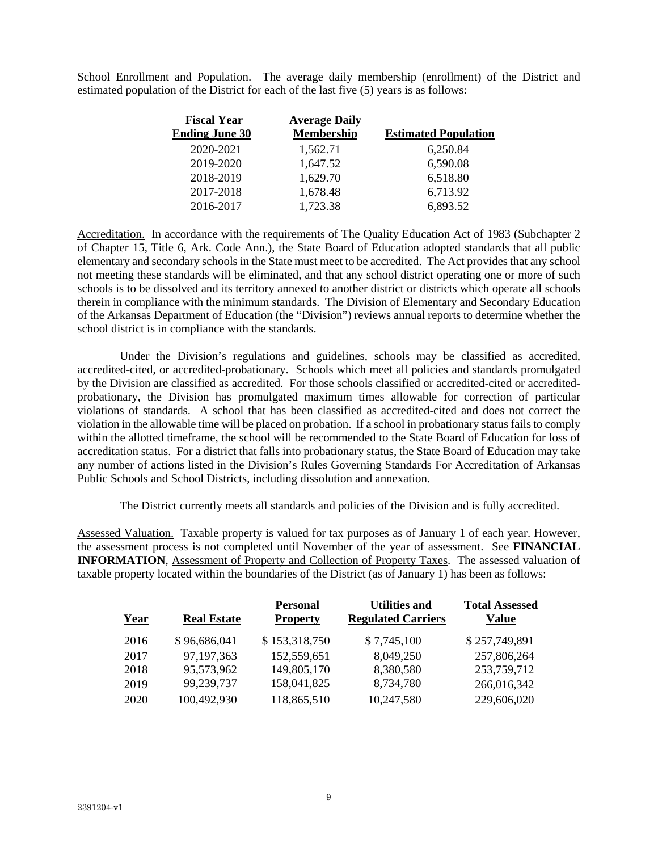School Enrollment and Population. The average daily membership (enrollment) of the District and estimated population of the District for each of the last five (5) years is as follows:

| <b>Fiscal Year</b>    | <b>Average Daily</b> |                             |
|-----------------------|----------------------|-----------------------------|
| <b>Ending June 30</b> | <b>Membership</b>    | <b>Estimated Population</b> |
| 2020-2021             | 1,562.71             | 6,250.84                    |
| 2019-2020             | 1,647.52             | 6,590.08                    |
| 2018-2019             | 1,629.70             | 6,518.80                    |
| 2017-2018             | 1,678.48             | 6,713.92                    |
| 2016-2017             | 1,723.38             | 6,893.52                    |

Accreditation. In accordance with the requirements of The Quality Education Act of 1983 (Subchapter 2 of Chapter 15, Title 6, Ark. Code Ann.), the State Board of Education adopted standards that all public elementary and secondary schools in the State must meet to be accredited. The Act provides that any school not meeting these standards will be eliminated, and that any school district operating one or more of such schools is to be dissolved and its territory annexed to another district or districts which operate all schools therein in compliance with the minimum standards. The Division of Elementary and Secondary Education of the Arkansas Department of Education (the "Division") reviews annual reports to determine whether the school district is in compliance with the standards.

Under the Division's regulations and guidelines, schools may be classified as accredited, accredited-cited, or accredited-probationary. Schools which meet all policies and standards promulgated by the Division are classified as accredited. For those schools classified or accredited-cited or accreditedprobationary, the Division has promulgated maximum times allowable for correction of particular violations of standards. A school that has been classified as accredited-cited and does not correct the violation in the allowable time will be placed on probation. If a school in probationary status fails to comply within the allotted timeframe, the school will be recommended to the State Board of Education for loss of accreditation status. For a district that falls into probationary status, the State Board of Education may take any number of actions listed in the Division's Rules Governing Standards For Accreditation of Arkansas Public Schools and School Districts, including dissolution and annexation.

The District currently meets all standards and policies of the Division and is fully accredited.

Assessed Valuation. Taxable property is valued for tax purposes as of January 1 of each year. However, the assessment process is not completed until November of the year of assessment. See **FINANCIAL INFORMATION**, Assessment of Property and Collection of Property Taxes. The assessed valuation of taxable property located within the boundaries of the District (as of January 1) has been as follows:

| Year | <b>Real Estate</b> | <b>Personal</b><br><b>Property</b> | <b>Utilities and</b><br><b>Regulated Carriers</b> | <b>Total Assessed</b><br>Value |
|------|--------------------|------------------------------------|---------------------------------------------------|--------------------------------|
| 2016 | \$96,686,041       | \$153,318,750                      | \$7,745,100                                       | \$257,749,891                  |
| 2017 | 97,197,363         | 152,559,651                        | 8,049,250                                         | 257,806,264                    |
| 2018 | 95,573,962         | 149,805,170                        | 8,380,580                                         | 253,759,712                    |
| 2019 | 99,239,737         | 158,041,825                        | 8,734,780                                         | 266,016,342                    |
| 2020 | 100,492,930        | 118,865,510                        | 10,247,580                                        | 229,606,020                    |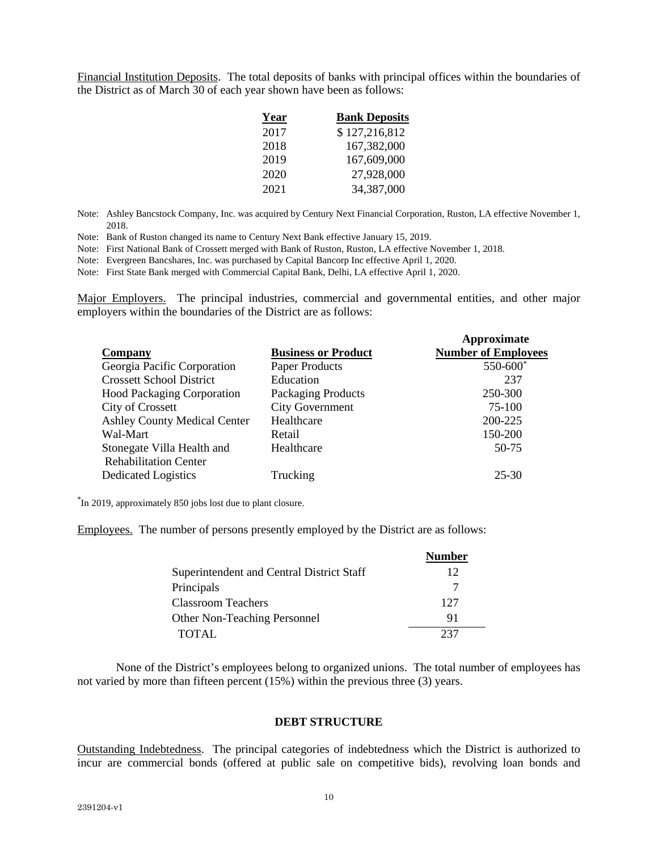Financial Institution Deposits. The total deposits of banks with principal offices within the boundaries of the District as of March 30 of each year shown have been as follows:

| Year | <b>Bank Deposits</b> |
|------|----------------------|
| 2017 | \$127,216,812        |
| 2018 | 167,382,000          |
| 2019 | 167,609,000          |
| 2020 | 27,928,000           |
| 2021 | 34,387,000           |

Note: Ashley Bancstock Company, Inc. was acquired by Century Next Financial Corporation, Ruston, LA effective November 1, 2018.

Note: Bank of Ruston changed its name to Century Next Bank effective January 15, 2019.

Note: First National Bank of Crossett merged with Bank of Ruston, Ruston, LA effective November 1, 2018.

Note: Evergreen Bancshares, Inc. was purchased by Capital Bancorp Inc effective April 1, 2020.

Note: First State Bank merged with Commercial Capital Bank, Delhi, LA effective April 1, 2020.

Major Employers. The principal industries, commercial and governmental entities, and other major employers within the boundaries of the District are as follows:

| Company                             | <b>Business or Product</b> | Approximate<br><b>Number of Employees</b> |
|-------------------------------------|----------------------------|-------------------------------------------|
| Georgia Pacific Corporation         | Paper Products             | 550-600*                                  |
| <b>Crossett School District</b>     | Education                  | 237                                       |
| <b>Hood Packaging Corporation</b>   | Packaging Products         | 250-300                                   |
| <b>City of Crossett</b>             | <b>City Government</b>     | 75-100                                    |
| <b>Ashley County Medical Center</b> | Healthcare                 | 200-225                                   |
| Wal-Mart                            | Retail                     | 150-200                                   |
| Stonegate Villa Health and          | Healthcare                 | 50-75                                     |
| <b>Rehabilitation Center</b>        |                            |                                           |
| <b>Dedicated Logistics</b>          | Trucking                   | 25-30                                     |

\* In 2019, approximately 850 jobs lost due to plant closure.

Employees. The number of persons presently employed by the District are as follows:

|                                           | <b>Number</b> |
|-------------------------------------------|---------------|
| Superintendent and Central District Staff | 12            |
| Principals                                |               |
| <b>Classroom Teachers</b>                 | 127           |
| <b>Other Non-Teaching Personnel</b>       | 91            |
| TOTAL                                     | ววา           |

None of the District's employees belong to organized unions. The total number of employees has not varied by more than fifteen percent (15%) within the previous three (3) years.

### **DEBT STRUCTURE**

Outstanding Indebtedness. The principal categories of indebtedness which the District is authorized to incur are commercial bonds (offered at public sale on competitive bids), revolving loan bonds and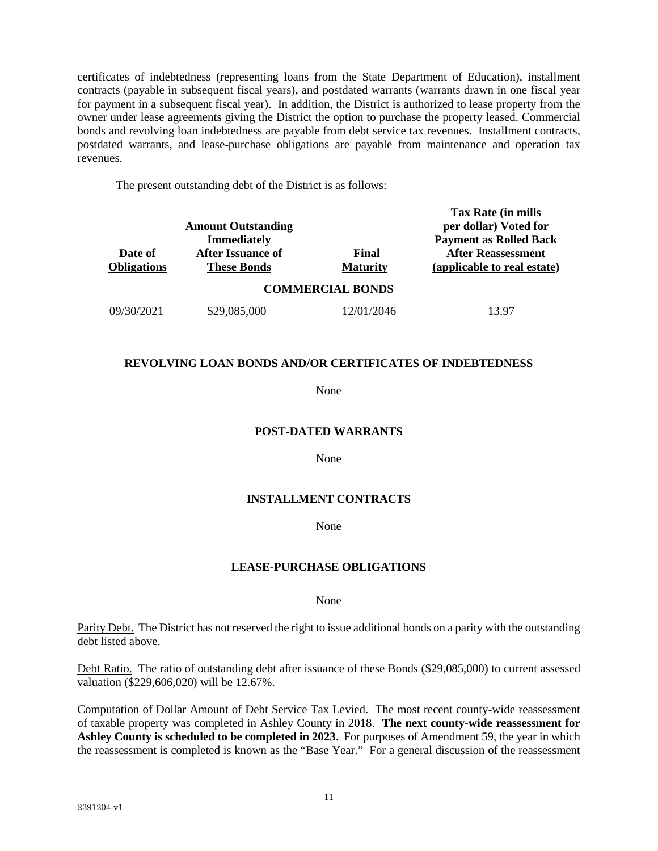certificates of indebtedness (representing loans from the State Department of Education), installment contracts (payable in subsequent fiscal years), and postdated warrants (warrants drawn in one fiscal year for payment in a subsequent fiscal year). In addition, the District is authorized to lease property from the owner under lease agreements giving the District the option to purchase the property leased. Commercial bonds and revolving loan indebtedness are payable from debt service tax revenues. Installment contracts, postdated warrants, and lease-purchase obligations are payable from maintenance and operation tax revenues.

The present outstanding debt of the District is as follows:

| Date of<br><b>Obligations</b> | <b>Amount Outstanding</b><br><b>Immediately</b><br><b>After Issuance of</b><br><b>These Bonds</b> | Final<br><b>Maturity</b> | Tax Rate (in mills<br>per dollar) Voted for<br><b>Payment as Rolled Back</b><br><b>After Reassessment</b><br>(applicable to real estate) |
|-------------------------------|---------------------------------------------------------------------------------------------------|--------------------------|------------------------------------------------------------------------------------------------------------------------------------------|
|                               |                                                                                                   | <b>COMMERCIAL BONDS</b>  |                                                                                                                                          |
| 09/30/2021                    | \$29,085,000                                                                                      | 12/01/2046               | 13 97                                                                                                                                    |

# **REVOLVING LOAN BONDS AND/OR CERTIFICATES OF INDEBTEDNESS**

None

# **POST-DATED WARRANTS**

None

# **INSTALLMENT CONTRACTS**

### None

# **LEASE-PURCHASE OBLIGATIONS**

None

Parity Debt. The District has not reserved the right to issue additional bonds on a parity with the outstanding debt listed above.

Debt Ratio. The ratio of outstanding debt after issuance of these Bonds (\$29,085,000) to current assessed valuation (\$229,606,020) will be 12.67%.

Computation of Dollar Amount of Debt Service Tax Levied. The most recent county-wide reassessment of taxable property was completed in Ashley County in 2018. **The next county-wide reassessment for Ashley County is scheduled to be completed in 2023**. For purposes of Amendment 59, the year in which the reassessment is completed is known as the "Base Year." For a general discussion of the reassessment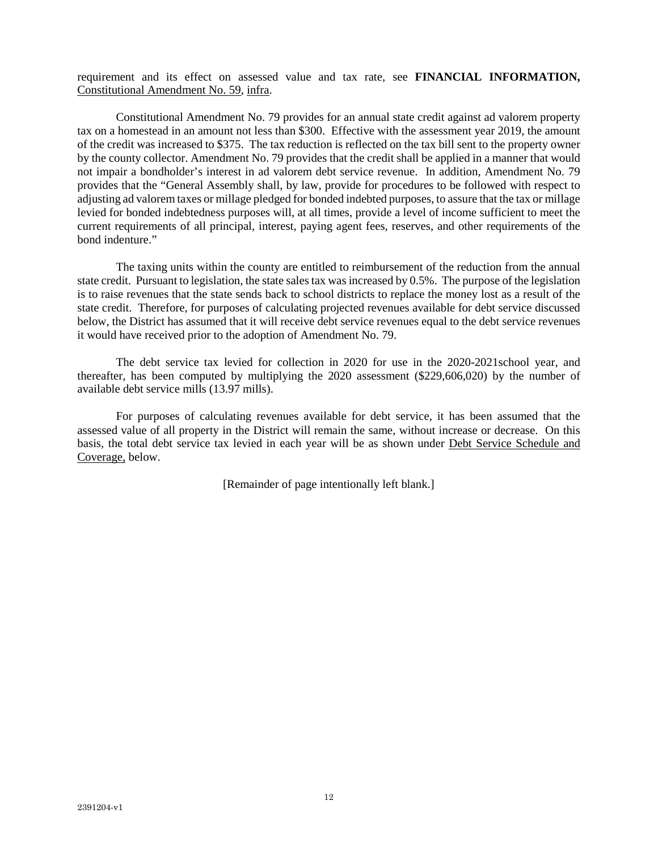requirement and its effect on assessed value and tax rate, see **FINANCIAL INFORMATION,**  Constitutional Amendment No. 59, infra.

Constitutional Amendment No. 79 provides for an annual state credit against ad valorem property tax on a homestead in an amount not less than \$300. Effective with the assessment year 2019, the amount of the credit was increased to \$375. The tax reduction is reflected on the tax bill sent to the property owner by the county collector. Amendment No. 79 provides that the credit shall be applied in a manner that would not impair a bondholder's interest in ad valorem debt service revenue. In addition, Amendment No. 79 provides that the "General Assembly shall, by law, provide for procedures to be followed with respect to adjusting ad valorem taxes or millage pledged for bonded indebted purposes, to assure that the tax or millage levied for bonded indebtedness purposes will, at all times, provide a level of income sufficient to meet the current requirements of all principal, interest, paying agent fees, reserves, and other requirements of the bond indenture."

The taxing units within the county are entitled to reimbursement of the reduction from the annual state credit. Pursuant to legislation, the state sales tax was increased by 0.5%. The purpose of the legislation is to raise revenues that the state sends back to school districts to replace the money lost as a result of the state credit. Therefore, for purposes of calculating projected revenues available for debt service discussed below, the District has assumed that it will receive debt service revenues equal to the debt service revenues it would have received prior to the adoption of Amendment No. 79.

The debt service tax levied for collection in 2020 for use in the 2020-2021school year, and thereafter, has been computed by multiplying the 2020 assessment (\$229,606,020) by the number of available debt service mills (13.97 mills).

For purposes of calculating revenues available for debt service, it has been assumed that the assessed value of all property in the District will remain the same, without increase or decrease. On this basis, the total debt service tax levied in each year will be as shown under Debt Service Schedule and Coverage, below.

[Remainder of page intentionally left blank.]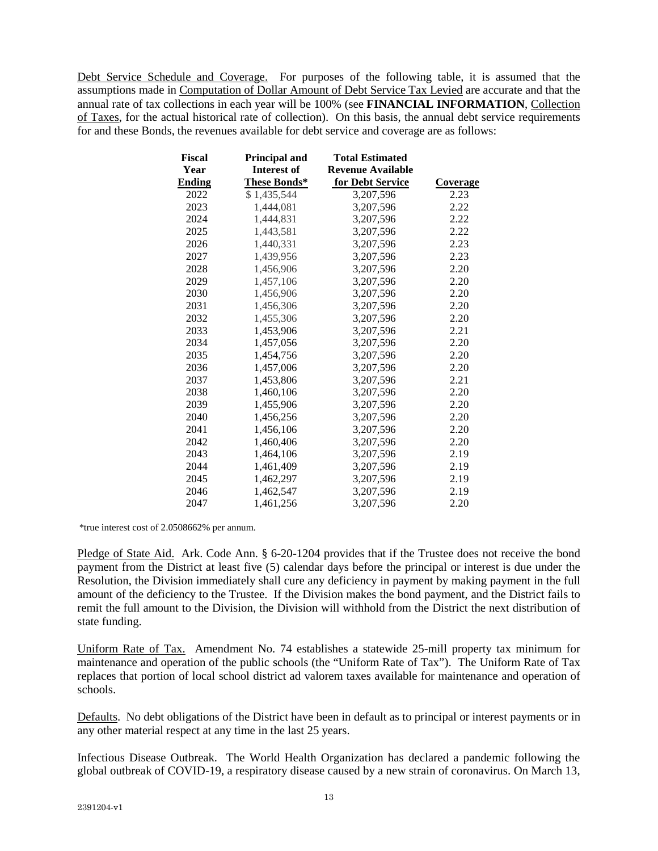Debt Service Schedule and Coverage. For purposes of the following table, it is assumed that the assumptions made in Computation of Dollar Amount of Debt Service Tax Levied are accurate and that the annual rate of tax collections in each year will be 100% (see **FINANCIAL INFORMATION**, Collection of Taxes, for the actual historical rate of collection). On this basis, the annual debt service requirements for and these Bonds, the revenues available for debt service and coverage are as follows:

| <b>Fiscal</b> | <b>Principal and</b> | <b>Total Estimated</b>   |                 |
|---------------|----------------------|--------------------------|-----------------|
| Year          | <b>Interest of</b>   | <b>Revenue Available</b> |                 |
| <b>Ending</b> | These Bonds*         | for Debt Service         | <b>Coverage</b> |
| 2022          | \$1,435,544          | 3,207,596                | 2.23            |
| 2023          | 1,444,081            | 3,207,596                | 2.22            |
| 2024          | 1,444,831            | 3,207,596                | 2.22            |
| 2025          | 1,443,581            | 3,207,596                | 2.22            |
| 2026          | 1,440,331            | 3,207,596                | 2.23            |
| 2027          | 1,439,956            | 3,207,596                | 2.23            |
| 2028          | 1,456,906            | 3,207,596                | 2.20            |
| 2029          | 1,457,106            | 3,207,596                | 2.20            |
| 2030          | 1,456,906            | 3,207,596                | 2.20            |
| 2031          | 1,456,306            | 3,207,596                | 2.20            |
| 2032          | 1,455,306            | 3,207,596                | 2.20            |
| 2033          | 1,453,906            | 3,207,596                | 2.21            |
| 2034          | 1,457,056            | 3,207,596                | 2.20            |
| 2035          | 1,454,756            | 3,207,596                | 2.20            |
| 2036          | 1,457,006            | 3,207,596                | 2.20            |
| 2037          | 1,453,806            | 3,207,596                | 2.21            |
| 2038          | 1,460,106            | 3,207,596                | 2.20            |
| 2039          | 1,455,906            | 3,207,596                | 2.20            |
| 2040          | 1,456,256            | 3,207,596                | 2.20            |
| 2041          | 1,456,106            | 3,207,596                | 2.20            |
| 2042          | 1,460,406            | 3,207,596                | 2.20            |
| 2043          | 1,464,106            | 3,207,596                | 2.19            |
| 2044          | 1,461,409            | 3,207,596                | 2.19            |
| 2045          | 1,462,297            | 3,207,596                | 2.19            |
| 2046          | 1,462,547            | 3,207,596                | 2.19            |
| 2047          | 1,461,256            | 3.207.596                | 2.20            |

\*true interest cost of 2.0508662% per annum.

Pledge of State Aid. Ark. Code Ann. § 6-20-1204 provides that if the Trustee does not receive the bond payment from the District at least five (5) calendar days before the principal or interest is due under the Resolution, the Division immediately shall cure any deficiency in payment by making payment in the full amount of the deficiency to the Trustee. If the Division makes the bond payment, and the District fails to remit the full amount to the Division, the Division will withhold from the District the next distribution of state funding.

Uniform Rate of Tax. Amendment No. 74 establishes a statewide 25-mill property tax minimum for maintenance and operation of the public schools (the "Uniform Rate of Tax"). The Uniform Rate of Tax replaces that portion of local school district ad valorem taxes available for maintenance and operation of schools.

Defaults. No debt obligations of the District have been in default as to principal or interest payments or in any other material respect at any time in the last 25 years.

Infectious Disease Outbreak. The World Health Organization has declared a pandemic following the global outbreak of COVID-19, a respiratory disease caused by a new strain of coronavirus. On March 13,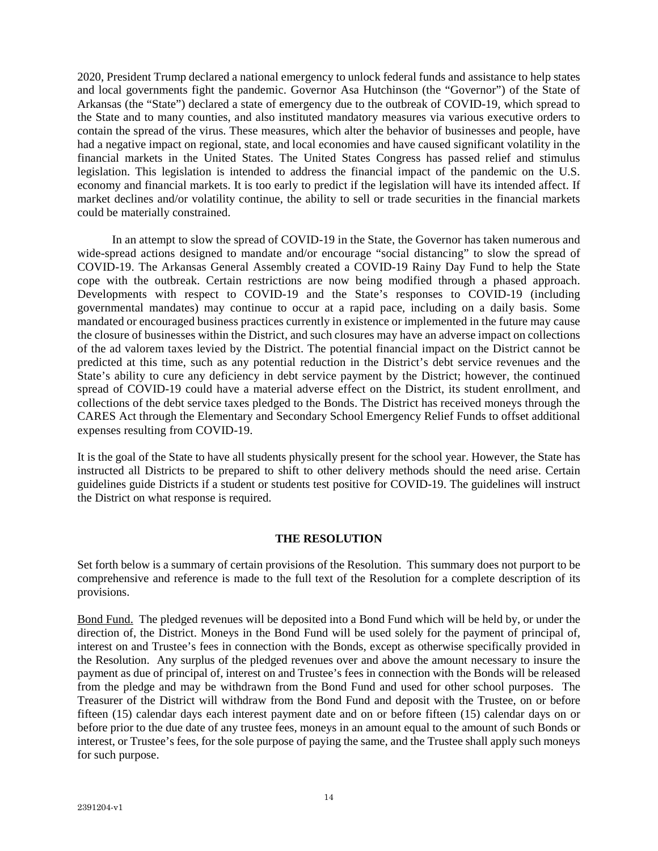2020, President Trump declared a national emergency to unlock federal funds and assistance to help states and local governments fight the pandemic. Governor Asa Hutchinson (the "Governor") of the State of Arkansas (the "State") declared a state of emergency due to the outbreak of COVID-19, which spread to the State and to many counties, and also instituted mandatory measures via various executive orders to contain the spread of the virus. These measures, which alter the behavior of businesses and people, have had a negative impact on regional, state, and local economies and have caused significant volatility in the financial markets in the United States. The United States Congress has passed relief and stimulus legislation. This legislation is intended to address the financial impact of the pandemic on the U.S. economy and financial markets. It is too early to predict if the legislation will have its intended affect. If market declines and/or volatility continue, the ability to sell or trade securities in the financial markets could be materially constrained.

In an attempt to slow the spread of COVID-19 in the State, the Governor has taken numerous and wide-spread actions designed to mandate and/or encourage "social distancing" to slow the spread of COVID-19. The Arkansas General Assembly created a COVID-19 Rainy Day Fund to help the State cope with the outbreak. Certain restrictions are now being modified through a phased approach. Developments with respect to COVID-19 and the State's responses to COVID-19 (including governmental mandates) may continue to occur at a rapid pace, including on a daily basis. Some mandated or encouraged business practices currently in existence or implemented in the future may cause the closure of businesses within the District, and such closures may have an adverse impact on collections of the ad valorem taxes levied by the District. The potential financial impact on the District cannot be predicted at this time, such as any potential reduction in the District's debt service revenues and the State's ability to cure any deficiency in debt service payment by the District; however, the continued spread of COVID-19 could have a material adverse effect on the District, its student enrollment, and collections of the debt service taxes pledged to the Bonds. The District has received moneys through the CARES Act through the Elementary and Secondary School Emergency Relief Funds to offset additional expenses resulting from COVID-19.

It is the goal of the State to have all students physically present for the school year. However, the State has instructed all Districts to be prepared to shift to other delivery methods should the need arise. Certain guidelines guide Districts if a student or students test positive for COVID-19. The guidelines will instruct the District on what response is required.

# **THE RESOLUTION**

Set forth below is a summary of certain provisions of the Resolution. This summary does not purport to be comprehensive and reference is made to the full text of the Resolution for a complete description of its provisions.

Bond Fund. The pledged revenues will be deposited into a Bond Fund which will be held by, or under the direction of, the District. Moneys in the Bond Fund will be used solely for the payment of principal of, interest on and Trustee's fees in connection with the Bonds, except as otherwise specifically provided in the Resolution. Any surplus of the pledged revenues over and above the amount necessary to insure the payment as due of principal of, interest on and Trustee's fees in connection with the Bonds will be released from the pledge and may be withdrawn from the Bond Fund and used for other school purposes. The Treasurer of the District will withdraw from the Bond Fund and deposit with the Trustee, on or before fifteen (15) calendar days each interest payment date and on or before fifteen (15) calendar days on or before prior to the due date of any trustee fees, moneys in an amount equal to the amount of such Bonds or interest, or Trustee's fees, for the sole purpose of paying the same, and the Trustee shall apply such moneys for such purpose.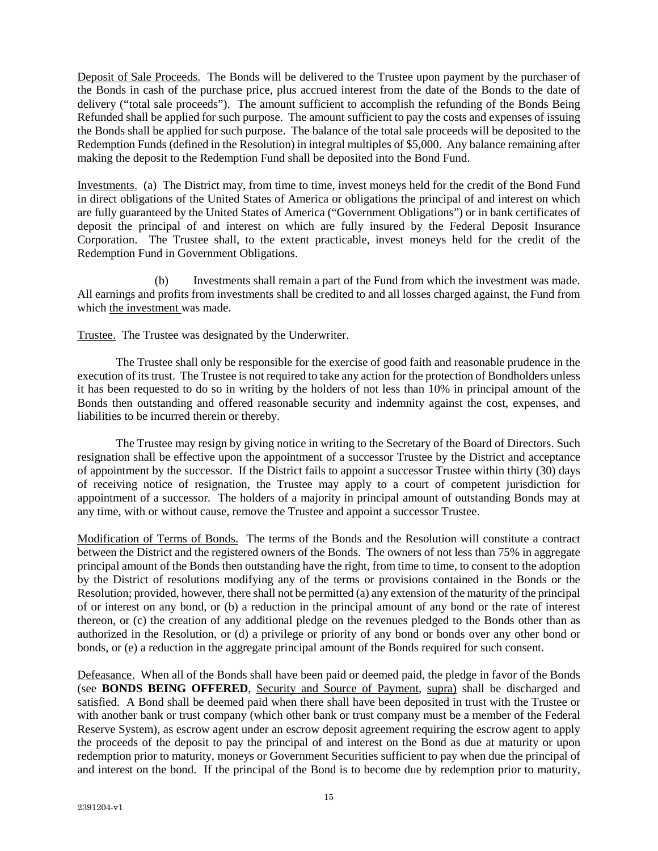Deposit of Sale Proceeds. The Bonds will be delivered to the Trustee upon payment by the purchaser of the Bonds in cash of the purchase price, plus accrued interest from the date of the Bonds to the date of delivery ("total sale proceeds"). The amount sufficient to accomplish the refunding of the Bonds Being Refunded shall be applied for such purpose. The amount sufficient to pay the costs and expenses of issuing the Bonds shall be applied for such purpose. The balance of the total sale proceeds will be deposited to the Redemption Funds (defined in the Resolution) in integral multiples of \$5,000. Any balance remaining after making the deposit to the Redemption Fund shall be deposited into the Bond Fund.

Investments. (a) The District may, from time to time, invest moneys held for the credit of the Bond Fund in direct obligations of the United States of America or obligations the principal of and interest on which are fully guaranteed by the United States of America ("Government Obligations") or in bank certificates of deposit the principal of and interest on which are fully insured by the Federal Deposit Insurance Corporation. The Trustee shall, to the extent practicable, invest moneys held for the credit of the Redemption Fund in Government Obligations.

(b) Investments shall remain a part of the Fund from which the investment was made. All earnings and profits from investments shall be credited to and all losses charged against, the Fund from which the investment was made.

Trustee. The Trustee was designated by the Underwriter.

The Trustee shall only be responsible for the exercise of good faith and reasonable prudence in the execution of its trust. The Trustee is not required to take any action for the protection of Bondholders unless it has been requested to do so in writing by the holders of not less than 10% in principal amount of the Bonds then outstanding and offered reasonable security and indemnity against the cost, expenses, and liabilities to be incurred therein or thereby.

The Trustee may resign by giving notice in writing to the Secretary of the Board of Directors. Such resignation shall be effective upon the appointment of a successor Trustee by the District and acceptance of appointment by the successor. If the District fails to appoint a successor Trustee within thirty (30) days of receiving notice of resignation, the Trustee may apply to a court of competent jurisdiction for appointment of a successor. The holders of a majority in principal amount of outstanding Bonds may at any time, with or without cause, remove the Trustee and appoint a successor Trustee.

Modification of Terms of Bonds. The terms of the Bonds and the Resolution will constitute a contract between the District and the registered owners of the Bonds. The owners of not less than 75% in aggregate principal amount of the Bonds then outstanding have the right, from time to time, to consent to the adoption by the District of resolutions modifying any of the terms or provisions contained in the Bonds or the Resolution; provided, however, there shall not be permitted (a) any extension of the maturity of the principal of or interest on any bond, or (b) a reduction in the principal amount of any bond or the rate of interest thereon, or (c) the creation of any additional pledge on the revenues pledged to the Bonds other than as authorized in the Resolution, or (d) a privilege or priority of any bond or bonds over any other bond or bonds, or (e) a reduction in the aggregate principal amount of the Bonds required for such consent.

Defeasance. When all of the Bonds shall have been paid or deemed paid, the pledge in favor of the Bonds (see **BONDS BEING OFFERED**, Security and Source of Payment, supra) shall be discharged and satisfied. A Bond shall be deemed paid when there shall have been deposited in trust with the Trustee or with another bank or trust company (which other bank or trust company must be a member of the Federal Reserve System), as escrow agent under an escrow deposit agreement requiring the escrow agent to apply the proceeds of the deposit to pay the principal of and interest on the Bond as due at maturity or upon redemption prior to maturity, moneys or Government Securities sufficient to pay when due the principal of and interest on the bond. If the principal of the Bond is to become due by redemption prior to maturity,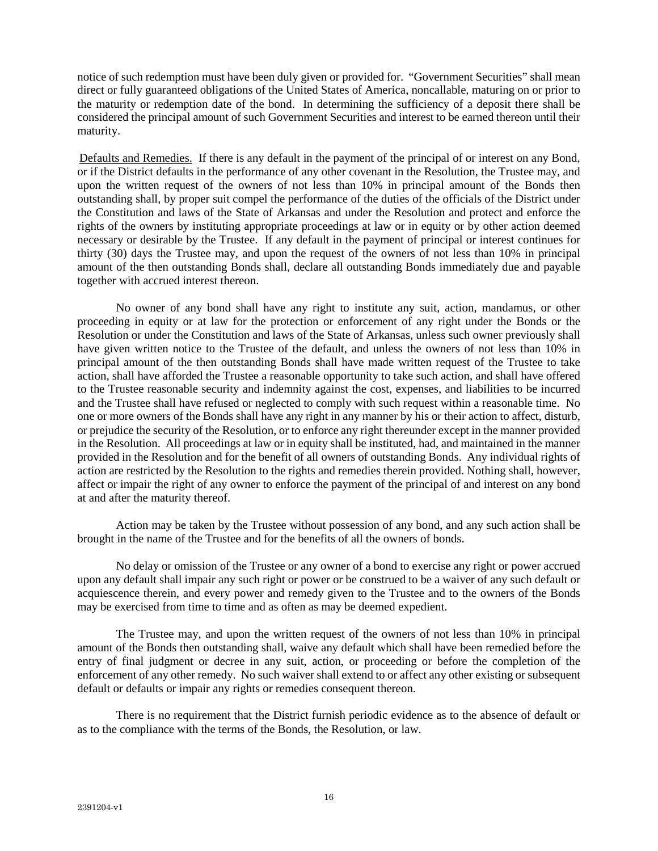notice of such redemption must have been duly given or provided for. "Government Securities" shall mean direct or fully guaranteed obligations of the United States of America, noncallable, maturing on or prior to the maturity or redemption date of the bond. In determining the sufficiency of a deposit there shall be considered the principal amount of such Government Securities and interest to be earned thereon until their maturity.

Defaults and Remedies. If there is any default in the payment of the principal of or interest on any Bond, or if the District defaults in the performance of any other covenant in the Resolution, the Trustee may, and upon the written request of the owners of not less than 10% in principal amount of the Bonds then outstanding shall, by proper suit compel the performance of the duties of the officials of the District under the Constitution and laws of the State of Arkansas and under the Resolution and protect and enforce the rights of the owners by instituting appropriate proceedings at law or in equity or by other action deemed necessary or desirable by the Trustee. If any default in the payment of principal or interest continues for thirty (30) days the Trustee may, and upon the request of the owners of not less than 10% in principal amount of the then outstanding Bonds shall, declare all outstanding Bonds immediately due and payable together with accrued interest thereon.

No owner of any bond shall have any right to institute any suit, action, mandamus, or other proceeding in equity or at law for the protection or enforcement of any right under the Bonds or the Resolution or under the Constitution and laws of the State of Arkansas, unless such owner previously shall have given written notice to the Trustee of the default, and unless the owners of not less than 10% in principal amount of the then outstanding Bonds shall have made written request of the Trustee to take action, shall have afforded the Trustee a reasonable opportunity to take such action, and shall have offered to the Trustee reasonable security and indemnity against the cost, expenses, and liabilities to be incurred and the Trustee shall have refused or neglected to comply with such request within a reasonable time. No one or more owners of the Bonds shall have any right in any manner by his or their action to affect, disturb, or prejudice the security of the Resolution, or to enforce any right thereunder except in the manner provided in the Resolution. All proceedings at law or in equity shall be instituted, had, and maintained in the manner provided in the Resolution and for the benefit of all owners of outstanding Bonds. Any individual rights of action are restricted by the Resolution to the rights and remedies therein provided. Nothing shall, however, affect or impair the right of any owner to enforce the payment of the principal of and interest on any bond at and after the maturity thereof.

Action may be taken by the Trustee without possession of any bond, and any such action shall be brought in the name of the Trustee and for the benefits of all the owners of bonds.

No delay or omission of the Trustee or any owner of a bond to exercise any right or power accrued upon any default shall impair any such right or power or be construed to be a waiver of any such default or acquiescence therein, and every power and remedy given to the Trustee and to the owners of the Bonds may be exercised from time to time and as often as may be deemed expedient.

The Trustee may, and upon the written request of the owners of not less than 10% in principal amount of the Bonds then outstanding shall, waive any default which shall have been remedied before the entry of final judgment or decree in any suit, action, or proceeding or before the completion of the enforcement of any other remedy. No such waiver shall extend to or affect any other existing or subsequent default or defaults or impair any rights or remedies consequent thereon.

There is no requirement that the District furnish periodic evidence as to the absence of default or as to the compliance with the terms of the Bonds, the Resolution, or law.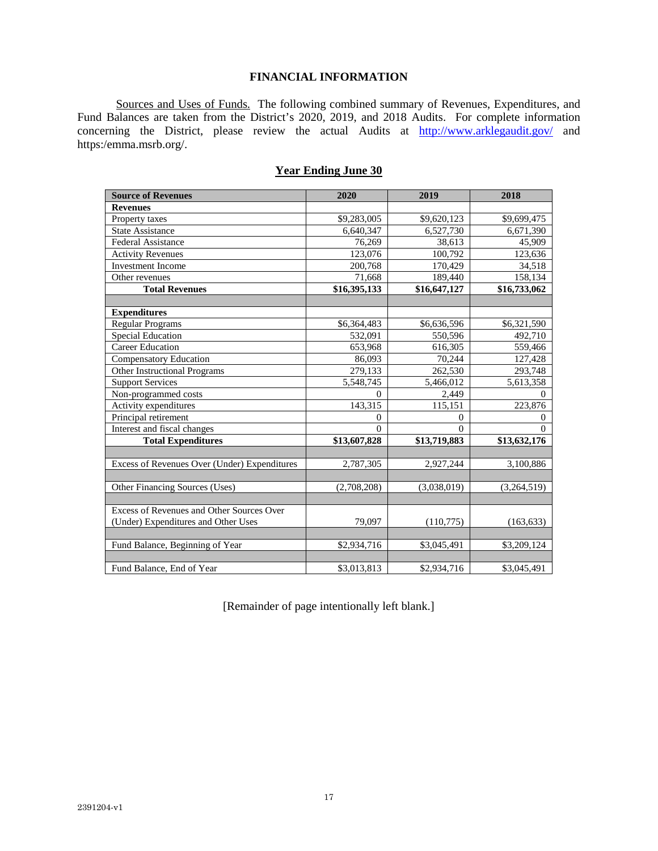# **FINANCIAL INFORMATION**

Sources and Uses of Funds. The following combined summary of Revenues, Expenditures, and Fund Balances are taken from the District's 2020, 2019, and 2018 Audits. For complete information concerning the District, please review the actual Audits at http://www.arklegaudit.gov/ and https:/emma.msrb.org/.

| <b>Source of Revenues</b>                    | 2020           | 2019         | 2018         |
|----------------------------------------------|----------------|--------------|--------------|
| <b>Revenues</b>                              |                |              |              |
| Property taxes                               | \$9,283,005    | \$9,620,123  | \$9,699,475  |
| <b>State Assistance</b>                      | 6,640,347      | 6,527,730    | 6,671,390    |
| Federal Assistance                           | 76,269         | 38,613       | 45,909       |
| <b>Activity Revenues</b>                     | 123,076        | 100,792      | 123,636      |
| <b>Investment Income</b>                     | 200,768        | 170,429      | 34,518       |
| Other revenues                               | 71,668         | 189,440      | 158,134      |
| <b>Total Revenues</b>                        | \$16,395,133   | \$16,647,127 | \$16,733,062 |
|                                              |                |              |              |
| <b>Expenditures</b>                          |                |              |              |
| <b>Regular Programs</b>                      | \$6,364,483    | \$6,636,596  | \$6,321,590  |
| <b>Special Education</b>                     | 532,091        | 550,596      | 492,710      |
| <b>Career Education</b>                      | 653,968        | 616,305      | 559,466      |
| <b>Compensatory Education</b>                | 86,093         | 70,244       | 127,428      |
| Other Instructional Programs                 | 279,133        | 262,530      | 293,748      |
| <b>Support Services</b>                      | 5,548,745      | 5,466,012    | 5,613,358    |
| Non-programmed costs                         | $\Omega$       | 2,449        | $\Omega$     |
| Activity expenditures                        | 143,315        | 115,151      | 223,876      |
| Principal retirement                         | $\overline{0}$ | $\mathbf{0}$ | $\mathbf{0}$ |
| Interest and fiscal changes                  | $\theta$       | $\Omega$     | $\Omega$     |
| <b>Total Expenditures</b>                    | \$13,607,828   | \$13,719,883 | \$13,632,176 |
|                                              |                |              |              |
| Excess of Revenues Over (Under) Expenditures | 2,787,305      | 2,927,244    | 3,100,886    |
|                                              |                |              |              |
| Other Financing Sources (Uses)               | (2,708,208)    | (3,038,019)  | (3,264,519)  |
|                                              |                |              |              |
| Excess of Revenues and Other Sources Over    |                |              |              |
| (Under) Expenditures and Other Uses          | 79,097         | (110,775)    | (163, 633)   |
|                                              |                |              |              |
| Fund Balance, Beginning of Year              | \$2,934,716    | \$3,045,491  | \$3,209,124  |
|                                              |                |              |              |
| Fund Balance, End of Year                    | \$3,013,813    | \$2,934,716  | \$3,045,491  |

# **Year Ending June 30**

[Remainder of page intentionally left blank.]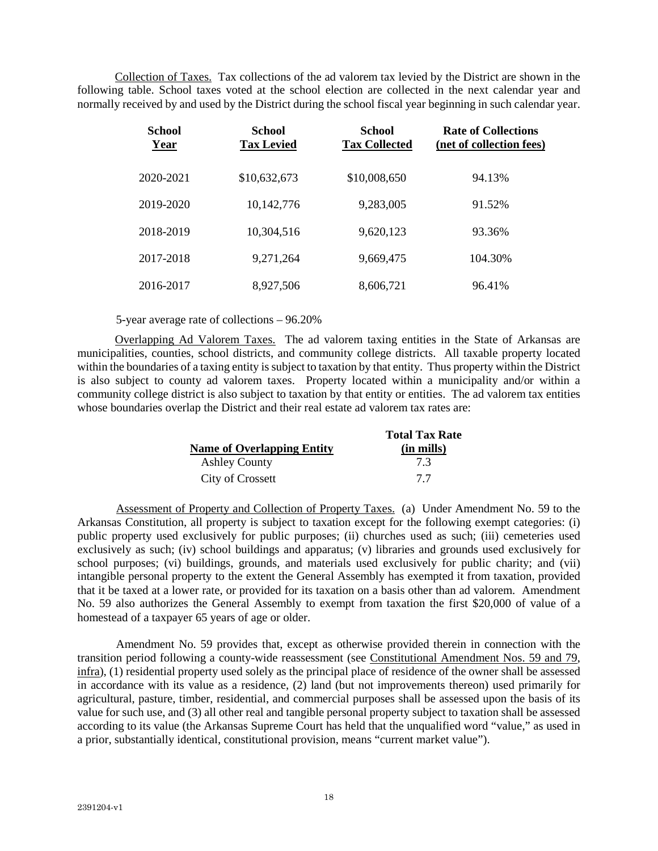Collection of Taxes. Tax collections of the ad valorem tax levied by the District are shown in the following table. School taxes voted at the school election are collected in the next calendar year and normally received by and used by the District during the school fiscal year beginning in such calendar year.

| <b>School</b><br>Year | <b>School</b><br><b>Tax Levied</b> | <b>School</b><br><b>Tax Collected</b> | <b>Rate of Collections</b><br>(net of collection fees) |
|-----------------------|------------------------------------|---------------------------------------|--------------------------------------------------------|
| 2020-2021             | \$10,632,673                       | \$10,008,650                          | 94.13%                                                 |
| 2019-2020             | 10,142,776                         | 9,283,005                             | 91.52%                                                 |
| 2018-2019             | 10,304,516                         | 9,620,123                             | 93.36%                                                 |
| 2017-2018             | 9,271,264                          | 9,669,475                             | 104.30%                                                |
| 2016-2017             | 8,927,506                          | 8,606,721                             | 96.41%                                                 |

5-year average rate of collections – 96.20%

Overlapping Ad Valorem Taxes. The ad valorem taxing entities in the State of Arkansas are municipalities, counties, school districts, and community college districts. All taxable property located within the boundaries of a taxing entity is subject to taxation by that entity. Thus property within the District is also subject to county ad valorem taxes. Property located within a municipality and/or within a community college district is also subject to taxation by that entity or entities. The ad valorem tax entities whose boundaries overlap the District and their real estate ad valorem tax rates are:

|                                   | <b>Total Tax Rate</b> |
|-----------------------------------|-----------------------|
| <b>Name of Overlapping Entity</b> | (in mills)            |
| <b>Ashley County</b>              | 73                    |
| City of Crossett                  | 77                    |

Assessment of Property and Collection of Property Taxes. (a) Under Amendment No. 59 to the Arkansas Constitution, all property is subject to taxation except for the following exempt categories: (i) public property used exclusively for public purposes; (ii) churches used as such; (iii) cemeteries used exclusively as such; (iv) school buildings and apparatus; (v) libraries and grounds used exclusively for school purposes; (vi) buildings, grounds, and materials used exclusively for public charity; and (vii) intangible personal property to the extent the General Assembly has exempted it from taxation, provided that it be taxed at a lower rate, or provided for its taxation on a basis other than ad valorem. Amendment No. 59 also authorizes the General Assembly to exempt from taxation the first \$20,000 of value of a homestead of a taxpayer 65 years of age or older.

Amendment No. 59 provides that, except as otherwise provided therein in connection with the transition period following a county-wide reassessment (see Constitutional Amendment Nos. 59 and 79, infra), (1) residential property used solely as the principal place of residence of the owner shall be assessed in accordance with its value as a residence, (2) land (but not improvements thereon) used primarily for agricultural, pasture, timber, residential, and commercial purposes shall be assessed upon the basis of its value for such use, and (3) all other real and tangible personal property subject to taxation shall be assessed according to its value (the Arkansas Supreme Court has held that the unqualified word "value," as used in a prior, substantially identical, constitutional provision, means "current market value").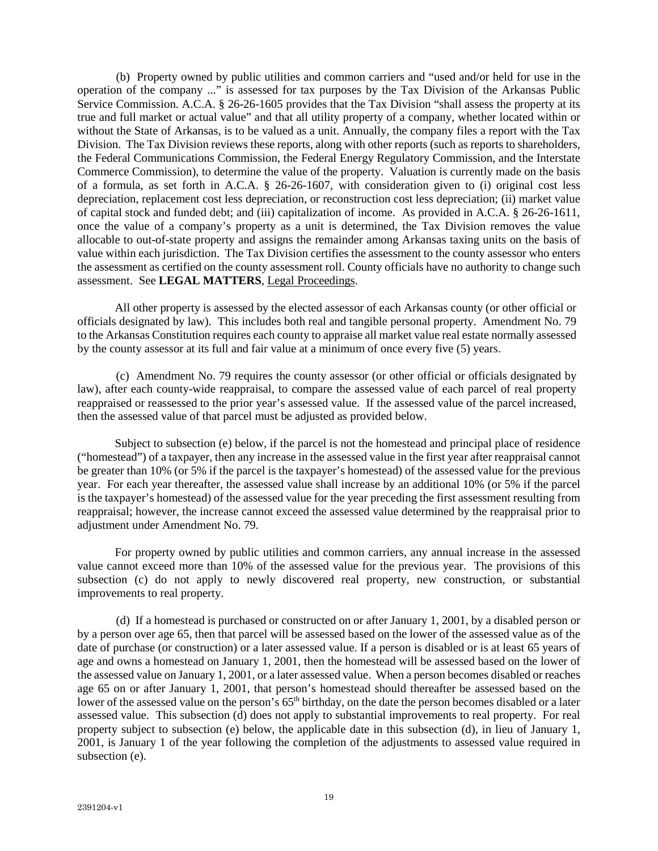(b) Property owned by public utilities and common carriers and "used and/or held for use in the operation of the company ..." is assessed for tax purposes by the Tax Division of the Arkansas Public Service Commission. A.C.A. § 26-26-1605 provides that the Tax Division "shall assess the property at its true and full market or actual value" and that all utility property of a company, whether located within or without the State of Arkansas, is to be valued as a unit. Annually, the company files a report with the Tax Division. The Tax Division reviews these reports, along with other reports (such as reports to shareholders, the Federal Communications Commission, the Federal Energy Regulatory Commission, and the Interstate Commerce Commission), to determine the value of the property. Valuation is currently made on the basis of a formula, as set forth in A.C.A. § 26-26-1607, with consideration given to (i) original cost less depreciation, replacement cost less depreciation, or reconstruction cost less depreciation; (ii) market value of capital stock and funded debt; and (iii) capitalization of income. As provided in A.C.A. § 26-26-1611, once the value of a company's property as a unit is determined, the Tax Division removes the value allocable to out-of-state property and assigns the remainder among Arkansas taxing units on the basis of value within each jurisdiction. The Tax Division certifies the assessment to the county assessor who enters the assessment as certified on the county assessment roll. County officials have no authority to change such assessment. See **LEGAL MATTERS**, Legal Proceedings.

All other property is assessed by the elected assessor of each Arkansas county (or other official or officials designated by law). This includes both real and tangible personal property. Amendment No. 79 to the Arkansas Constitution requires each county to appraise all market value real estate normally assessed by the county assessor at its full and fair value at a minimum of once every five (5) years.

(c) Amendment No. 79 requires the county assessor (or other official or officials designated by law), after each county-wide reappraisal, to compare the assessed value of each parcel of real property reappraised or reassessed to the prior year's assessed value. If the assessed value of the parcel increased, then the assessed value of that parcel must be adjusted as provided below.

Subject to subsection (e) below, if the parcel is not the homestead and principal place of residence ("homestead") of a taxpayer, then any increase in the assessed value in the first year after reappraisal cannot be greater than 10% (or 5% if the parcel is the taxpayer's homestead) of the assessed value for the previous year. For each year thereafter, the assessed value shall increase by an additional 10% (or 5% if the parcel is the taxpayer's homestead) of the assessed value for the year preceding the first assessment resulting from reappraisal; however, the increase cannot exceed the assessed value determined by the reappraisal prior to adjustment under Amendment No. 79.

For property owned by public utilities and common carriers, any annual increase in the assessed value cannot exceed more than 10% of the assessed value for the previous year. The provisions of this subsection (c) do not apply to newly discovered real property, new construction, or substantial improvements to real property.

(d) If a homestead is purchased or constructed on or after January 1, 2001, by a disabled person or by a person over age 65, then that parcel will be assessed based on the lower of the assessed value as of the date of purchase (or construction) or a later assessed value. If a person is disabled or is at least 65 years of age and owns a homestead on January 1, 2001, then the homestead will be assessed based on the lower of the assessed value on January 1, 2001, or a later assessed value. When a person becomes disabled or reaches age 65 on or after January 1, 2001, that person's homestead should thereafter be assessed based on the lower of the assessed value on the person's 65<sup>th</sup> birthday, on the date the person becomes disabled or a later assessed value. This subsection (d) does not apply to substantial improvements to real property. For real property subject to subsection (e) below, the applicable date in this subsection (d), in lieu of January 1, 2001, is January 1 of the year following the completion of the adjustments to assessed value required in subsection (e).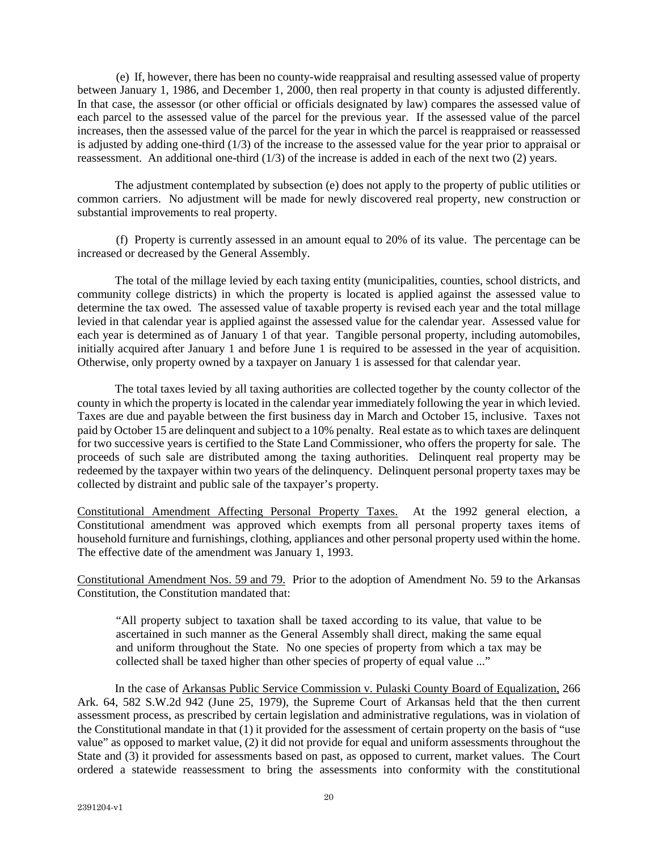(e) If, however, there has been no county-wide reappraisal and resulting assessed value of property between January 1, 1986, and December 1, 2000, then real property in that county is adjusted differently. In that case, the assessor (or other official or officials designated by law) compares the assessed value of each parcel to the assessed value of the parcel for the previous year. If the assessed value of the parcel increases, then the assessed value of the parcel for the year in which the parcel is reappraised or reassessed is adjusted by adding one-third (1/3) of the increase to the assessed value for the year prior to appraisal or reassessment. An additional one-third (1/3) of the increase is added in each of the next two (2) years.

The adjustment contemplated by subsection (e) does not apply to the property of public utilities or common carriers. No adjustment will be made for newly discovered real property, new construction or substantial improvements to real property.

(f) Property is currently assessed in an amount equal to 20% of its value. The percentage can be increased or decreased by the General Assembly.

The total of the millage levied by each taxing entity (municipalities, counties, school districts, and community college districts) in which the property is located is applied against the assessed value to determine the tax owed. The assessed value of taxable property is revised each year and the total millage levied in that calendar year is applied against the assessed value for the calendar year. Assessed value for each year is determined as of January 1 of that year. Tangible personal property, including automobiles, initially acquired after January 1 and before June 1 is required to be assessed in the year of acquisition. Otherwise, only property owned by a taxpayer on January 1 is assessed for that calendar year.

The total taxes levied by all taxing authorities are collected together by the county collector of the county in which the property is located in the calendar year immediately following the year in which levied. Taxes are due and payable between the first business day in March and October 15, inclusive. Taxes not paid by October 15 are delinquent and subject to a 10% penalty. Real estate as to which taxes are delinquent for two successive years is certified to the State Land Commissioner, who offers the property for sale. The proceeds of such sale are distributed among the taxing authorities. Delinquent real property may be redeemed by the taxpayer within two years of the delinquency. Delinquent personal property taxes may be collected by distraint and public sale of the taxpayer's property.

Constitutional Amendment Affecting Personal Property Taxes. At the 1992 general election, a Constitutional amendment was approved which exempts from all personal property taxes items of household furniture and furnishings, clothing, appliances and other personal property used within the home. The effective date of the amendment was January 1, 1993.

Constitutional Amendment Nos. 59 and 79. Prior to the adoption of Amendment No. 59 to the Arkansas Constitution, the Constitution mandated that:

"All property subject to taxation shall be taxed according to its value, that value to be ascertained in such manner as the General Assembly shall direct, making the same equal and uniform throughout the State. No one species of property from which a tax may be collected shall be taxed higher than other species of property of equal value ..."

In the case of Arkansas Public Service Commission v. Pulaski County Board of Equalization, 266 Ark. 64, 582 S.W.2d 942 (June 25, 1979), the Supreme Court of Arkansas held that the then current assessment process, as prescribed by certain legislation and administrative regulations, was in violation of the Constitutional mandate in that (1) it provided for the assessment of certain property on the basis of "use value" as opposed to market value, (2) it did not provide for equal and uniform assessments throughout the State and (3) it provided for assessments based on past, as opposed to current, market values. The Court ordered a statewide reassessment to bring the assessments into conformity with the constitutional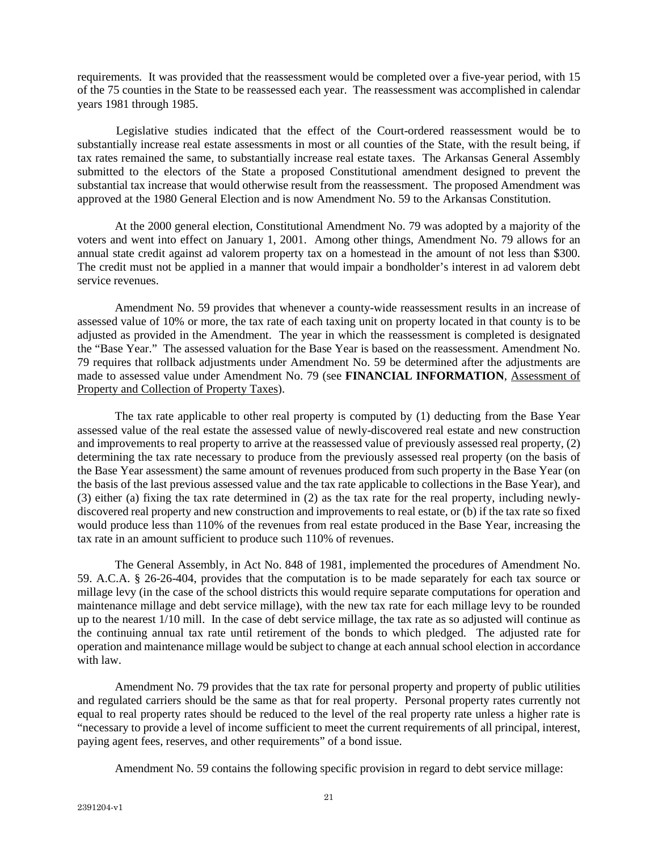requirements. It was provided that the reassessment would be completed over a five-year period, with 15 of the 75 counties in the State to be reassessed each year. The reassessment was accomplished in calendar years 1981 through 1985.

Legislative studies indicated that the effect of the Court-ordered reassessment would be to substantially increase real estate assessments in most or all counties of the State, with the result being, if tax rates remained the same, to substantially increase real estate taxes. The Arkansas General Assembly submitted to the electors of the State a proposed Constitutional amendment designed to prevent the substantial tax increase that would otherwise result from the reassessment. The proposed Amendment was approved at the 1980 General Election and is now Amendment No. 59 to the Arkansas Constitution.

At the 2000 general election, Constitutional Amendment No. 79 was adopted by a majority of the voters and went into effect on January 1, 2001. Among other things, Amendment No. 79 allows for an annual state credit against ad valorem property tax on a homestead in the amount of not less than \$300. The credit must not be applied in a manner that would impair a bondholder's interest in ad valorem debt service revenues.

Amendment No. 59 provides that whenever a county-wide reassessment results in an increase of assessed value of 10% or more, the tax rate of each taxing unit on property located in that county is to be adjusted as provided in the Amendment. The year in which the reassessment is completed is designated the "Base Year." The assessed valuation for the Base Year is based on the reassessment. Amendment No. 79 requires that rollback adjustments under Amendment No. 59 be determined after the adjustments are made to assessed value under Amendment No. 79 (see **FINANCIAL INFORMATION**, Assessment of Property and Collection of Property Taxes).

The tax rate applicable to other real property is computed by (1) deducting from the Base Year assessed value of the real estate the assessed value of newly-discovered real estate and new construction and improvements to real property to arrive at the reassessed value of previously assessed real property, (2) determining the tax rate necessary to produce from the previously assessed real property (on the basis of the Base Year assessment) the same amount of revenues produced from such property in the Base Year (on the basis of the last previous assessed value and the tax rate applicable to collections in the Base Year), and (3) either (a) fixing the tax rate determined in (2) as the tax rate for the real property, including newlydiscovered real property and new construction and improvements to real estate, or (b) if the tax rate so fixed would produce less than 110% of the revenues from real estate produced in the Base Year, increasing the tax rate in an amount sufficient to produce such 110% of revenues.

The General Assembly, in Act No. 848 of 1981, implemented the procedures of Amendment No. 59. A.C.A. § 26-26-404, provides that the computation is to be made separately for each tax source or millage levy (in the case of the school districts this would require separate computations for operation and maintenance millage and debt service millage), with the new tax rate for each millage levy to be rounded up to the nearest 1/10 mill. In the case of debt service millage, the tax rate as so adjusted will continue as the continuing annual tax rate until retirement of the bonds to which pledged. The adjusted rate for operation and maintenance millage would be subject to change at each annual school election in accordance with law.

Amendment No. 79 provides that the tax rate for personal property and property of public utilities and regulated carriers should be the same as that for real property. Personal property rates currently not equal to real property rates should be reduced to the level of the real property rate unless a higher rate is "necessary to provide a level of income sufficient to meet the current requirements of all principal, interest, paying agent fees, reserves, and other requirements" of a bond issue.

Amendment No. 59 contains the following specific provision in regard to debt service millage: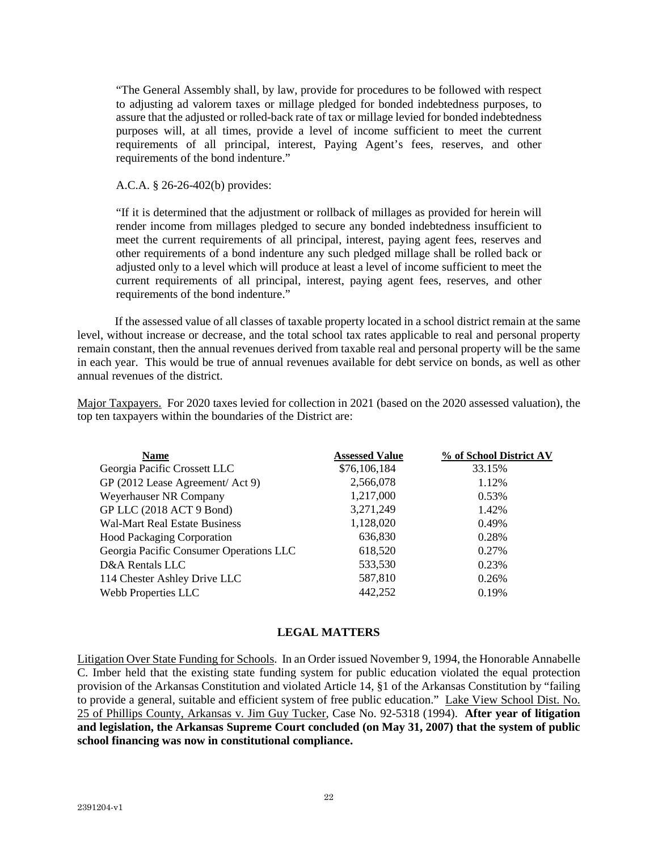"The General Assembly shall, by law, provide for procedures to be followed with respect to adjusting ad valorem taxes or millage pledged for bonded indebtedness purposes, to assure that the adjusted or rolled-back rate of tax or millage levied for bonded indebtedness purposes will, at all times, provide a level of income sufficient to meet the current requirements of all principal, interest, Paying Agent's fees, reserves, and other requirements of the bond indenture."

# A.C.A. § 26-26-402(b) provides:

"If it is determined that the adjustment or rollback of millages as provided for herein will render income from millages pledged to secure any bonded indebtedness insufficient to meet the current requirements of all principal, interest, paying agent fees, reserves and other requirements of a bond indenture any such pledged millage shall be rolled back or adjusted only to a level which will produce at least a level of income sufficient to meet the current requirements of all principal, interest, paying agent fees, reserves, and other requirements of the bond indenture."

If the assessed value of all classes of taxable property located in a school district remain at the same level, without increase or decrease, and the total school tax rates applicable to real and personal property remain constant, then the annual revenues derived from taxable real and personal property will be the same in each year. This would be true of annual revenues available for debt service on bonds, as well as other annual revenues of the district.

Major Taxpayers. For 2020 taxes levied for collection in 2021 (based on the 2020 assessed valuation), the top ten taxpayers within the boundaries of the District are:

| <b>Name</b>                             | <b>Assessed Value</b> | % of School District AV |
|-----------------------------------------|-----------------------|-------------------------|
| Georgia Pacific Crossett LLC            | \$76,106,184          | 33.15%                  |
| GP (2012 Lease Agreement/ Act 9)        | 2,566,078             | 1.12%                   |
| Weyerhauser NR Company                  | 1,217,000             | 0.53%                   |
| GP LLC (2018 ACT 9 Bond)                | 3,271,249             | 1.42%                   |
| <b>Wal-Mart Real Estate Business</b>    | 1,128,020             | 0.49%                   |
| <b>Hood Packaging Corporation</b>       | 636,830               | 0.28%                   |
| Georgia Pacific Consumer Operations LLC | 618,520               | 0.27%                   |
| D&A Rentals LLC                         | 533,530               | 0.23%                   |
| 114 Chester Ashley Drive LLC            | 587,810               | 0.26%                   |
| Webb Properties LLC                     | 442,252               | 0.19%                   |

# **LEGAL MATTERS**

Litigation Over State Funding for Schools. In an Order issued November 9, 1994, the Honorable Annabelle C. Imber held that the existing state funding system for public education violated the equal protection provision of the Arkansas Constitution and violated Article 14, §1 of the Arkansas Constitution by "failing to provide a general, suitable and efficient system of free public education." Lake View School Dist. No. 25 of Phillips County, Arkansas v. Jim Guy Tucker, Case No. 92-5318 (1994). **After year of litigation and legislation, the Arkansas Supreme Court concluded (on May 31, 2007) that the system of public school financing was now in constitutional compliance.**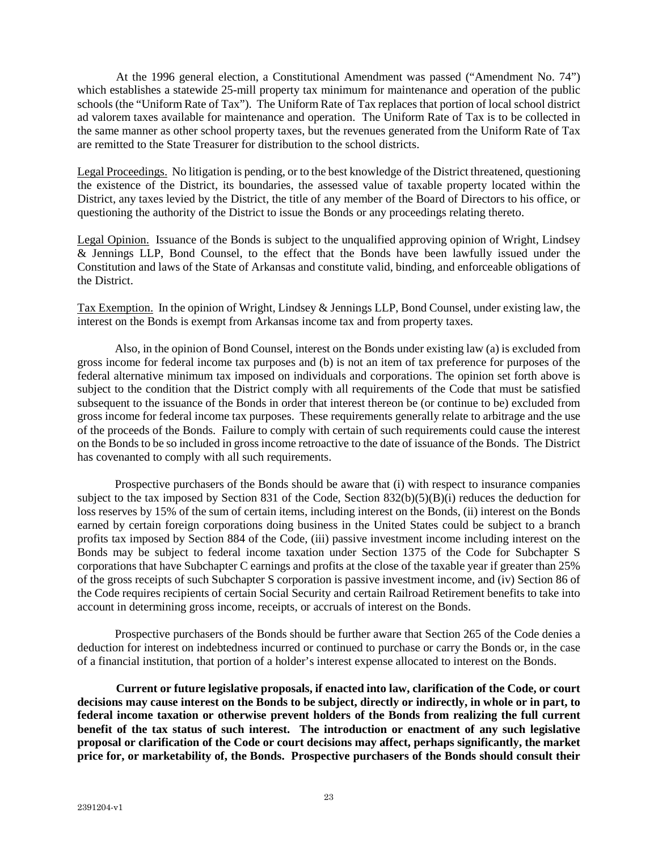At the 1996 general election, a Constitutional Amendment was passed ("Amendment No. 74") which establishes a statewide 25-mill property tax minimum for maintenance and operation of the public schools (the "Uniform Rate of Tax"). The Uniform Rate of Tax replaces that portion of local school district ad valorem taxes available for maintenance and operation. The Uniform Rate of Tax is to be collected in the same manner as other school property taxes, but the revenues generated from the Uniform Rate of Tax are remitted to the State Treasurer for distribution to the school districts.

Legal Proceedings. No litigation is pending, or to the best knowledge of the District threatened, questioning the existence of the District, its boundaries, the assessed value of taxable property located within the District, any taxes levied by the District, the title of any member of the Board of Directors to his office, or questioning the authority of the District to issue the Bonds or any proceedings relating thereto.

Legal Opinion. Issuance of the Bonds is subject to the unqualified approving opinion of Wright, Lindsey & Jennings LLP, Bond Counsel, to the effect that the Bonds have been lawfully issued under the Constitution and laws of the State of Arkansas and constitute valid, binding, and enforceable obligations of the District.

Tax Exemption. In the opinion of Wright, Lindsey & Jennings LLP, Bond Counsel, under existing law, the interest on the Bonds is exempt from Arkansas income tax and from property taxes.

Also, in the opinion of Bond Counsel, interest on the Bonds under existing law (a) is excluded from gross income for federal income tax purposes and (b) is not an item of tax preference for purposes of the federal alternative minimum tax imposed on individuals and corporations. The opinion set forth above is subject to the condition that the District comply with all requirements of the Code that must be satisfied subsequent to the issuance of the Bonds in order that interest thereon be (or continue to be) excluded from gross income for federal income tax purposes. These requirements generally relate to arbitrage and the use of the proceeds of the Bonds. Failure to comply with certain of such requirements could cause the interest on the Bonds to be so included in gross income retroactive to the date of issuance of the Bonds. The District has covenanted to comply with all such requirements.

Prospective purchasers of the Bonds should be aware that (i) with respect to insurance companies subject to the tax imposed by Section 831 of the Code, Section 832(b)(5)(B)(i) reduces the deduction for loss reserves by 15% of the sum of certain items, including interest on the Bonds, (ii) interest on the Bonds earned by certain foreign corporations doing business in the United States could be subject to a branch profits tax imposed by Section 884 of the Code, (iii) passive investment income including interest on the Bonds may be subject to federal income taxation under Section 1375 of the Code for Subchapter S corporations that have Subchapter C earnings and profits at the close of the taxable year if greater than 25% of the gross receipts of such Subchapter S corporation is passive investment income, and (iv) Section 86 of the Code requires recipients of certain Social Security and certain Railroad Retirement benefits to take into account in determining gross income, receipts, or accruals of interest on the Bonds.

Prospective purchasers of the Bonds should be further aware that Section 265 of the Code denies a deduction for interest on indebtedness incurred or continued to purchase or carry the Bonds or, in the case of a financial institution, that portion of a holder's interest expense allocated to interest on the Bonds.

**Current or future legislative proposals, if enacted into law, clarification of the Code, or court decisions may cause interest on the Bonds to be subject, directly or indirectly, in whole or in part, to federal income taxation or otherwise prevent holders of the Bonds from realizing the full current benefit of the tax status of such interest. The introduction or enactment of any such legislative proposal or clarification of the Code or court decisions may affect, perhaps significantly, the market price for, or marketability of, the Bonds. Prospective purchasers of the Bonds should consult their**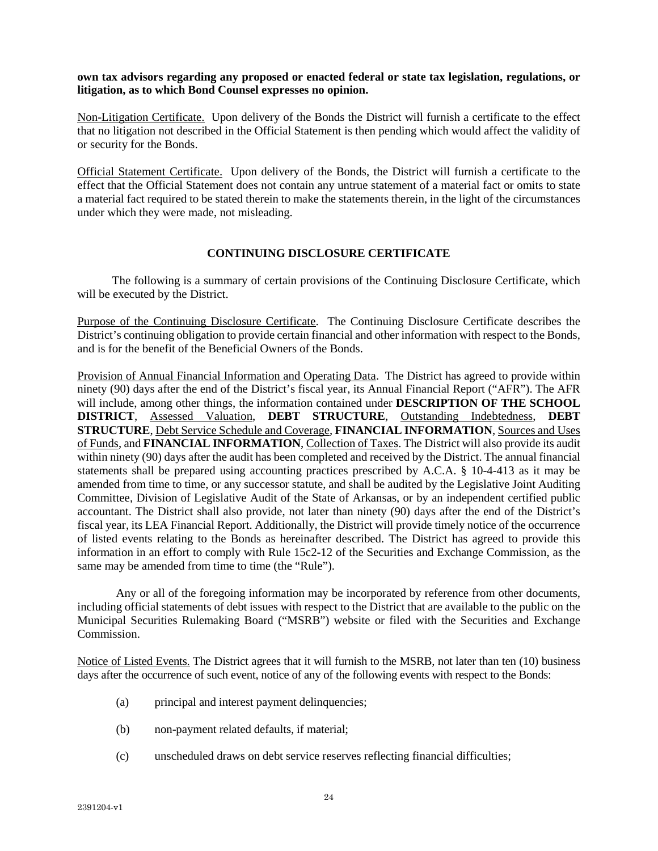**own tax advisors regarding any proposed or enacted federal or state tax legislation, regulations, or litigation, as to which Bond Counsel expresses no opinion.** 

Non-Litigation Certificate. Upon delivery of the Bonds the District will furnish a certificate to the effect that no litigation not described in the Official Statement is then pending which would affect the validity of or security for the Bonds.

Official Statement Certificate. Upon delivery of the Bonds, the District will furnish a certificate to the effect that the Official Statement does not contain any untrue statement of a material fact or omits to state a material fact required to be stated therein to make the statements therein, in the light of the circumstances under which they were made, not misleading.

# **CONTINUING DISCLOSURE CERTIFICATE**

The following is a summary of certain provisions of the Continuing Disclosure Certificate, which will be executed by the District.

Purpose of the Continuing Disclosure Certificate. The Continuing Disclosure Certificate describes the District's continuing obligation to provide certain financial and other information with respect to the Bonds, and is for the benefit of the Beneficial Owners of the Bonds.

Provision of Annual Financial Information and Operating Data. The District has agreed to provide within ninety (90) days after the end of the District's fiscal year, its Annual Financial Report ("AFR"). The AFR will include, among other things, the information contained under **DESCRIPTION OF THE SCHOOL DISTRICT**, Assessed Valuation, **DEBT STRUCTURE**, Outstanding Indebtedness, **DEBT STRUCTURE**, Debt Service Schedule and Coverage, **FINANCIAL INFORMATION**, Sources and Uses of Funds, and **FINANCIAL INFORMATION**, Collection of Taxes. The District will also provide its audit within ninety (90) days after the audit has been completed and received by the District. The annual financial statements shall be prepared using accounting practices prescribed by A.C.A. § 10-4-413 as it may be amended from time to time, or any successor statute, and shall be audited by the Legislative Joint Auditing Committee, Division of Legislative Audit of the State of Arkansas, or by an independent certified public accountant. The District shall also provide, not later than ninety (90) days after the end of the District's fiscal year, its LEA Financial Report. Additionally, the District will provide timely notice of the occurrence of listed events relating to the Bonds as hereinafter described. The District has agreed to provide this information in an effort to comply with Rule 15c2-12 of the Securities and Exchange Commission, as the same may be amended from time to time (the "Rule").

Any or all of the foregoing information may be incorporated by reference from other documents, including official statements of debt issues with respect to the District that are available to the public on the Municipal Securities Rulemaking Board ("MSRB") website or filed with the Securities and Exchange Commission.

Notice of Listed Events. The District agrees that it will furnish to the MSRB, not later than ten (10) business days after the occurrence of such event, notice of any of the following events with respect to the Bonds:

- (a) principal and interest payment delinquencies;
- (b) non-payment related defaults, if material;
- (c) unscheduled draws on debt service reserves reflecting financial difficulties;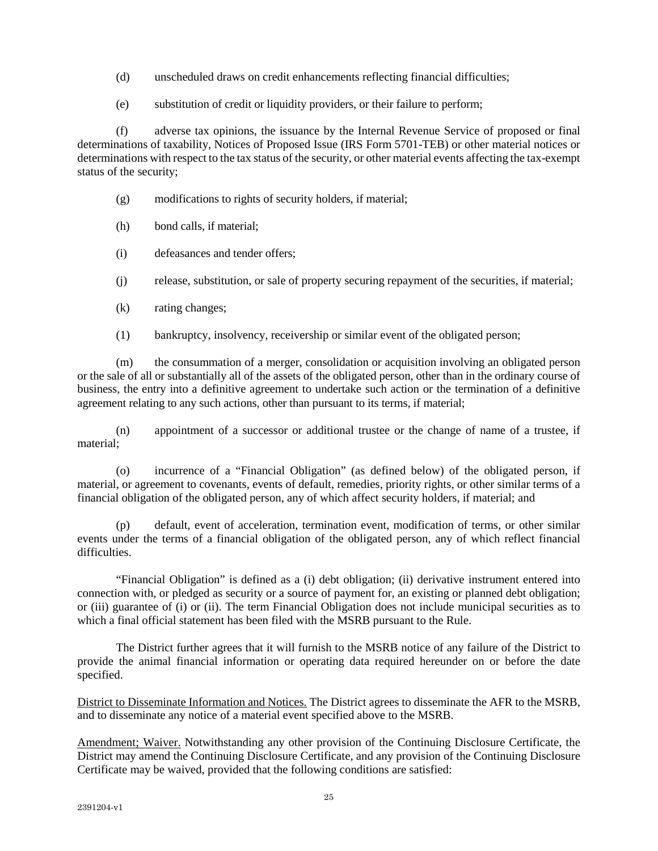- (d) unscheduled draws on credit enhancements reflecting financial difficulties;
- (e) substitution of credit or liquidity providers, or their failure to perform;

(f) adverse tax opinions, the issuance by the Internal Revenue Service of proposed or final determinations of taxability, Notices of Proposed Issue (IRS Form 5701-TEB) or other material notices or determinations with respect to the tax status of the security, or other material events affecting the tax-exempt status of the security;

- (g) modifications to rights of security holders, if material;
- (h) bond calls, if material;
- (i) defeasances and tender offers;
- (j) release, substitution, or sale of property securing repayment of the securities, if material;
- (k) rating changes;
- (1) bankruptcy, insolvency, receivership or similar event of the obligated person;

(m) the consummation of a merger, consolidation or acquisition involving an obligated person or the sale of all or substantially all of the assets of the obligated person, other than in the ordinary course of business, the entry into a definitive agreement to undertake such action or the termination of a definitive agreement relating to any such actions, other than pursuant to its terms, if material;

(n) appointment of a successor or additional trustee or the change of name of a trustee, if material;

(o) incurrence of a "Financial Obligation" (as defined below) of the obligated person, if material, or agreement to covenants, events of default, remedies, priority rights, or other similar terms of a financial obligation of the obligated person, any of which affect security holders, if material; and

(p) default, event of acceleration, termination event, modification of terms, or other similar events under the terms of a financial obligation of the obligated person, any of which reflect financial difficulties.

"Financial Obligation" is defined as a (i) debt obligation; (ii) derivative instrument entered into connection with, or pledged as security or a source of payment for, an existing or planned debt obligation; or (iii) guarantee of (i) or (ii). The term Financial Obligation does not include municipal securities as to which a final official statement has been filed with the MSRB pursuant to the Rule.

The District further agrees that it will furnish to the MSRB notice of any failure of the District to provide the animal financial information or operating data required hereunder on or before the date specified.

District to Disseminate Information and Notices. The District agrees to disseminate the AFR to the MSRB, and to disseminate any notice of a material event specified above to the MSRB.

Amendment; Waiver. Notwithstanding any other provision of the Continuing Disclosure Certificate, the District may amend the Continuing Disclosure Certificate, and any provision of the Continuing Disclosure Certificate may be waived, provided that the following conditions are satisfied: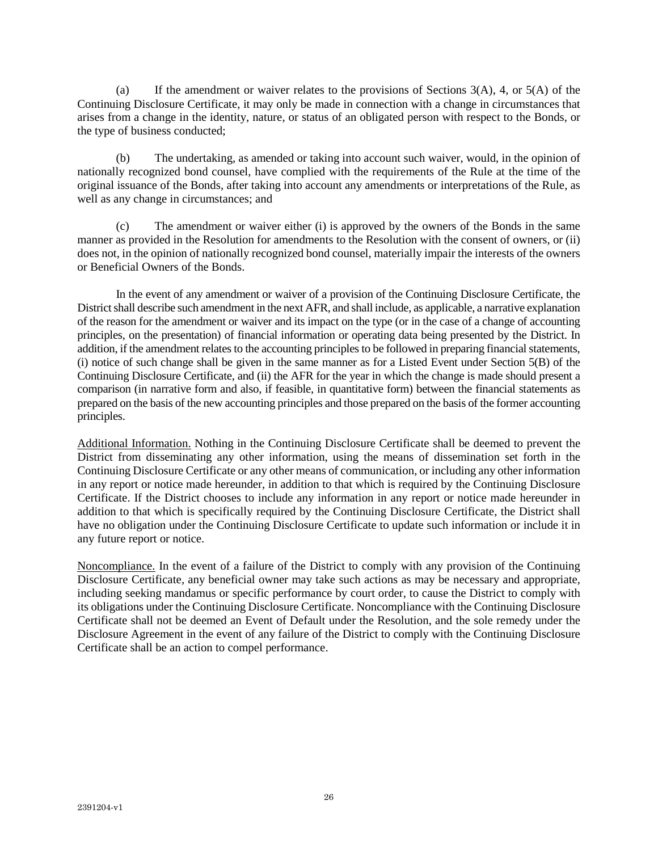(a) If the amendment or waiver relates to the provisions of Sections  $3(A)$ , 4, or  $5(A)$  of the Continuing Disclosure Certificate, it may only be made in connection with a change in circumstances that arises from a change in the identity, nature, or status of an obligated person with respect to the Bonds, or the type of business conducted;

(b) The undertaking, as amended or taking into account such waiver, would, in the opinion of nationally recognized bond counsel, have complied with the requirements of the Rule at the time of the original issuance of the Bonds, after taking into account any amendments or interpretations of the Rule, as well as any change in circumstances; and

(c) The amendment or waiver either (i) is approved by the owners of the Bonds in the same manner as provided in the Resolution for amendments to the Resolution with the consent of owners, or (ii) does not, in the opinion of nationally recognized bond counsel, materially impair the interests of the owners or Beneficial Owners of the Bonds.

In the event of any amendment or waiver of a provision of the Continuing Disclosure Certificate, the District shall describe such amendment in the next AFR, and shall include, as applicable, a narrative explanation of the reason for the amendment or waiver and its impact on the type (or in the case of a change of accounting principles, on the presentation) of financial information or operating data being presented by the District. In addition, if the amendment relates to the accounting principles to be followed in preparing financial statements, (i) notice of such change shall be given in the same manner as for a Listed Event under Section 5(B) of the Continuing Disclosure Certificate, and (ii) the AFR for the year in which the change is made should present a comparison (in narrative form and also, if feasible, in quantitative form) between the financial statements as prepared on the basis of the new accounting principles and those prepared on the basis of the former accounting principles.

Additional Information. Nothing in the Continuing Disclosure Certificate shall be deemed to prevent the District from disseminating any other information, using the means of dissemination set forth in the Continuing Disclosure Certificate or any other means of communication, or including any other information in any report or notice made hereunder, in addition to that which is required by the Continuing Disclosure Certificate. If the District chooses to include any information in any report or notice made hereunder in addition to that which is specifically required by the Continuing Disclosure Certificate, the District shall have no obligation under the Continuing Disclosure Certificate to update such information or include it in any future report or notice.

Noncompliance. In the event of a failure of the District to comply with any provision of the Continuing Disclosure Certificate, any beneficial owner may take such actions as may be necessary and appropriate, including seeking mandamus or specific performance by court order, to cause the District to comply with its obligations under the Continuing Disclosure Certificate. Noncompliance with the Continuing Disclosure Certificate shall not be deemed an Event of Default under the Resolution, and the sole remedy under the Disclosure Agreement in the event of any failure of the District to comply with the Continuing Disclosure Certificate shall be an action to compel performance.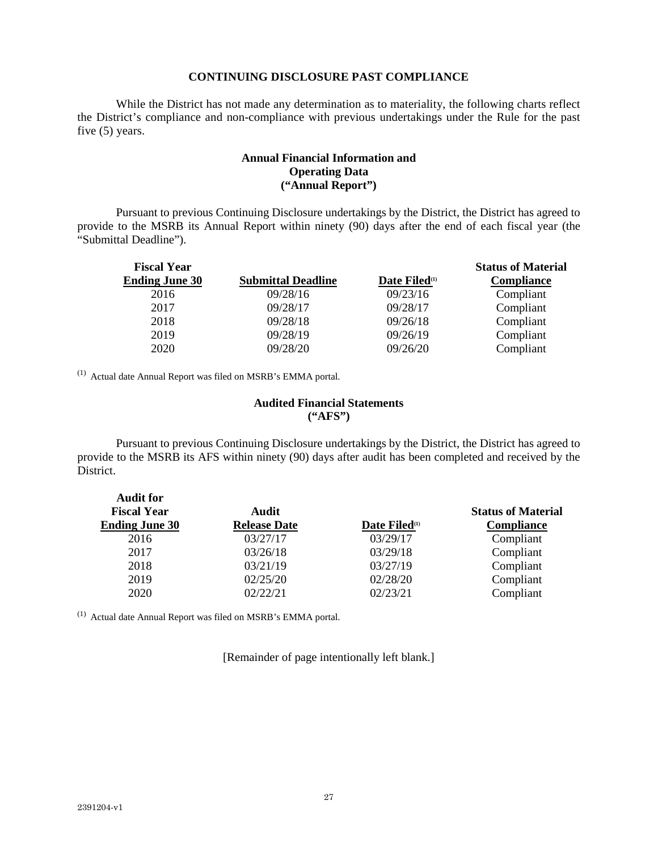# **CONTINUING DISCLOSURE PAST COMPLIANCE**

While the District has not made any determination as to materiality, the following charts reflect the District's compliance and non-compliance with previous undertakings under the Rule for the past five (5) years.

# **Annual Financial Information and Operating Data ("Annual Report")**

Pursuant to previous Continuing Disclosure undertakings by the District, the District has agreed to provide to the MSRB its Annual Report within ninety (90) days after the end of each fiscal year (the "Submittal Deadline").

| <b>Fiscal Year</b>    |                           |                           | <b>Status of Material</b> |
|-----------------------|---------------------------|---------------------------|---------------------------|
| <b>Ending June 30</b> | <b>Submittal Deadline</b> | Date Filed <sup>(1)</sup> | <b>Compliance</b>         |
| 2016                  | 09/28/16                  | 09/23/16                  | Compliant                 |
| 2017                  | 09/28/17                  | 09/28/17                  | Compliant                 |
| 2018                  | 09/28/18                  | 09/26/18                  | Compliant                 |
| 2019                  | 09/28/19                  | 09/26/19                  | Compliant                 |
| 2020                  | 09/28/20                  | 09/26/20                  | Compliant                 |

(1) Actual date Annual Report was filed on MSRB's EMMA portal.

**Audit for** 

# **Audited Financial Statements ("AFS")**

Pursuant to previous Continuing Disclosure undertakings by the District, the District has agreed to provide to the MSRB its AFS within ninety (90) days after audit has been completed and received by the District.

| <b>Fiscal Year</b>    | Audit               |                           | <b>Status of Material</b> |
|-----------------------|---------------------|---------------------------|---------------------------|
| <b>Ending June 30</b> | <b>Release Date</b> | Date Filed <sup>(1)</sup> | <b>Compliance</b>         |
| 2016                  | 03/27/17            | 03/29/17                  | Compliant                 |
| 2017                  | 03/26/18            | 03/29/18                  | Compliant                 |
| 2018                  | 03/21/19            | 03/27/19                  | Compliant                 |
| 2019                  | 02/25/20            | 02/28/20                  | Compliant                 |
| 2020                  | 02/22/21            | 02/23/21                  | Compliant                 |

(1) Actual date Annual Report was filed on MSRB's EMMA portal.

[Remainder of page intentionally left blank.]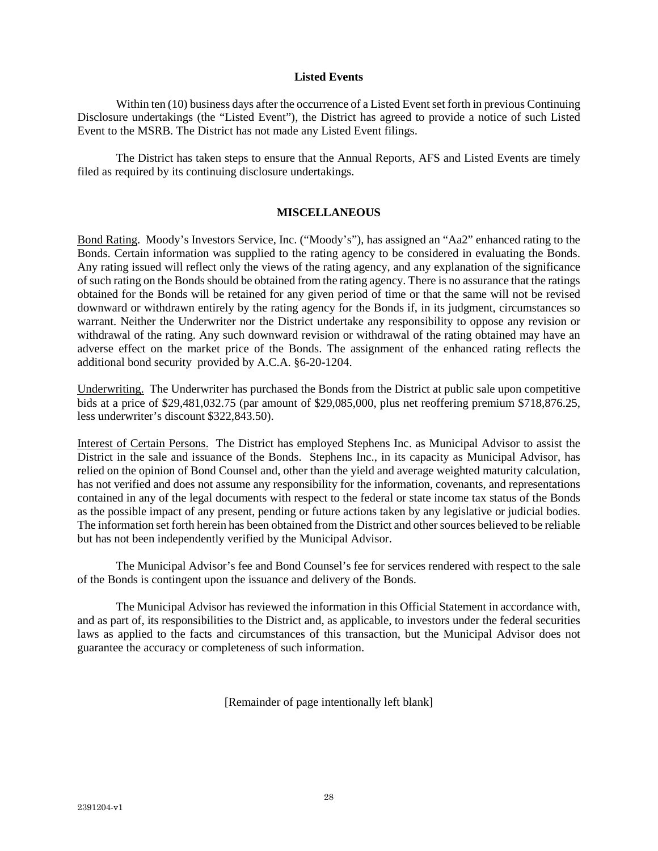# **Listed Events**

Within ten (10) business days after the occurrence of a Listed Event set forth in previous Continuing Disclosure undertakings (the "Listed Event"), the District has agreed to provide a notice of such Listed Event to the MSRB. The District has not made any Listed Event filings.

The District has taken steps to ensure that the Annual Reports, AFS and Listed Events are timely filed as required by its continuing disclosure undertakings.

# **MISCELLANEOUS**

Bond Rating. Moody's Investors Service, Inc. ("Moody's"), has assigned an "Aa2" enhanced rating to the Bonds. Certain information was supplied to the rating agency to be considered in evaluating the Bonds. Any rating issued will reflect only the views of the rating agency, and any explanation of the significance of such rating on the Bonds should be obtained from the rating agency. There is no assurance that the ratings obtained for the Bonds will be retained for any given period of time or that the same will not be revised downward or withdrawn entirely by the rating agency for the Bonds if, in its judgment, circumstances so warrant. Neither the Underwriter nor the District undertake any responsibility to oppose any revision or withdrawal of the rating. Any such downward revision or withdrawal of the rating obtained may have an adverse effect on the market price of the Bonds. The assignment of the enhanced rating reflects the additional bond security provided by A.C.A. §6-20-1204.

Underwriting. The Underwriter has purchased the Bonds from the District at public sale upon competitive bids at a price of \$29,481,032.75 (par amount of \$29,085,000, plus net reoffering premium \$718,876.25, less underwriter's discount \$322,843.50).

Interest of Certain Persons. The District has employed Stephens Inc. as Municipal Advisor to assist the District in the sale and issuance of the Bonds. Stephens Inc., in its capacity as Municipal Advisor, has relied on the opinion of Bond Counsel and, other than the yield and average weighted maturity calculation, has not verified and does not assume any responsibility for the information, covenants, and representations contained in any of the legal documents with respect to the federal or state income tax status of the Bonds as the possible impact of any present, pending or future actions taken by any legislative or judicial bodies. The information set forth herein has been obtained from the District and other sources believed to be reliable but has not been independently verified by the Municipal Advisor.

The Municipal Advisor's fee and Bond Counsel's fee for services rendered with respect to the sale of the Bonds is contingent upon the issuance and delivery of the Bonds.

The Municipal Advisor has reviewed the information in this Official Statement in accordance with, and as part of, its responsibilities to the District and, as applicable, to investors under the federal securities laws as applied to the facts and circumstances of this transaction, but the Municipal Advisor does not guarantee the accuracy or completeness of such information.

[Remainder of page intentionally left blank]